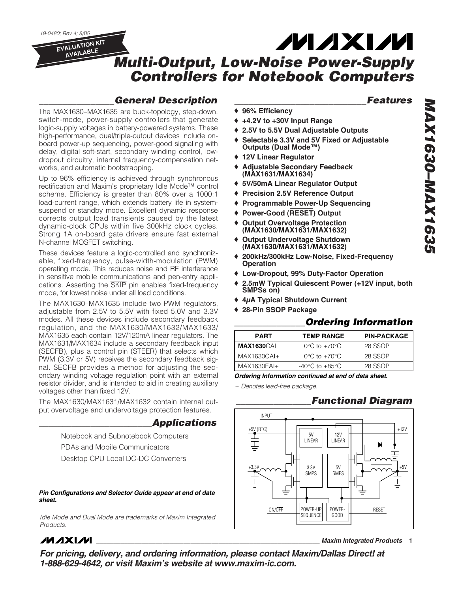*19-0480; Rev 4; 8/05* **EVALUATION KIT** 

**AVAILABLE**

# *Multi-Output, Low-Noise Power-Supply Controllers for Notebook Computers*

### *\_\_\_\_\_\_\_\_\_\_\_\_\_\_\_\_General Description*

The MAX1630–MAX1635 are buck-topology, step-down, switch-mode, power-supply controllers that generate logic-supply voltages in battery-powered systems. These high-performance, dual/triple-output devices include onboard power-up sequencing, power-good signaling with delay, digital soft-start, secondary winding control, lowdropout circuitry, internal frequency-compensation networks, and automatic bootstrapping.

Up to 96% efficiency is achieved through synchronous rectification and Maxim's proprietary Idle Mode™ control scheme. Efficiency is greater than 80% over a 1000:1 load-current range, which extends battery life in systemsuspend or standby mode. Excellent dynamic response corrects output load transients caused by the latest dynamic-clock CPUs within five 300kHz clock cycles. Strong 1A on-board gate drivers ensure fast external N-channel MOSFET switching.

These devices feature a logic-controlled and synchronizable, fixed-frequency, pulse-width-modulation (PWM) operating mode. This reduces noise and RF interference in sensitive mobile communications and pen-entry applications. Asserting the SKIP pin enables fixed-frequency mode, for lowest noise under all load conditions.

The MAX1630–MAX1635 include two PWM regulators, adjustable from 2.5V to 5.5V with fixed 5.0V and 3.3V modes. All these devices include secondary feedback regulation, and the MAX1630/MAX1632/MAX1633/ MAX1635 each contain 12V/120mA linear regulators. The MAX1631/MAX1634 include a secondary feedback input (SECFB), plus a control pin (STEER) that selects which PWM (3.3V or 5V) receives the secondary feedback signal. SECFB provides a method for adjusting the secondary winding voltage regulation point with an external resistor divider, and is intended to aid in creating auxiliary voltages other than fixed 12V.

The MAX1630/MAX1631/MAX1632 contain internal output overvoltage and undervoltage protection features.

### *\_\_\_\_\_\_\_\_\_\_\_\_\_\_\_\_\_\_\_\_\_\_\_\_Applications*

Notebook and Subnotebook Computers PDAs and Mobile Communicators Desktop CPU Local DC-DC Converters

*Pin Configurations and Selector Guide appear at end of data sheet.* 

*Idle Mode and Dual Mode are trademarks of Maxim Integrated Products.*

- ♦ **96% Efficiency**
- ♦ **+4.2V to +30V Input Range**
- ♦ **2.5V to 5.5V Dual Adjustable Outputs**
- ♦ **Selectable 3.3V and 5V Fixed or Adjustable Outputs (Dual Mode™)**

**MAXM** 

- ♦ **12V Linear Regulator**
- **Adjustable Secondary Feedback (MAX1631/MAX1634)**
- ♦ **5V/50mA Linear Regulator Output**
- ♦ **Precision 2.5V Reference Output**
- ♦ **Programmable Power-Up Sequencing**
- ♦ **Power-Good (RESET) Output**
- **Output Overvoltage Protection (MAX1630/MAX1631/MAX1632)**
- ♦ **Output Undervoltage Shutdown (MAX1630/MAX1631/MAX1632)**
- ♦ **200kHz/300kHz Low-Noise, Fixed-Frequency Operation**
- ♦ **Low-Dropout, 99% Duty-Factor Operation**
- ♦ **2.5mW Typical Quiescent Power (+12V input, both SMPSs on)**
- ♦ **4μA Typical Shutdown Current**
- ♦ **28-Pin SSOP Package**

#### *\_\_\_\_\_\_\_\_\_\_\_\_\_\_\_Ordering Information*

| <b>TEMP RANGE</b>                  | <b>PIN-PACKAGE</b> |
|------------------------------------|--------------------|
| $0^{\circ}$ C to +70 $^{\circ}$ C  | 28 SSOP            |
| $0^{\circ}$ C to +70 $^{\circ}$ C  | 28 SSOP            |
| $-40^{\circ}$ C to $+85^{\circ}$ C | 28 SSOP            |
|                                    |                    |

*Ordering Information continued at end of data sheet.*

+ *Denotes lead-free package.*

### *\_\_\_\_\_\_\_\_\_\_\_\_\_\_\_\_Functional Diagram*



### **MAXIM**

**\_\_\_\_\_\_\_\_\_\_\_\_\_\_\_\_\_\_\_\_\_\_\_\_\_\_\_\_\_\_\_\_\_\_\_\_\_\_\_\_\_\_\_\_\_\_\_\_\_\_\_\_\_\_\_\_\_\_\_\_\_\_\_\_** *Maxim Integrated Products* **1**

*For pricing, delivery, and ordering information, please contact Maxim/Dallas Direct! at 1-888-629-4642, or visit Maxim's website at www.maxim-ic.com.*

*\_\_\_\_\_\_\_\_\_\_\_\_\_\_\_\_\_\_\_\_\_\_\_\_\_\_\_\_Features*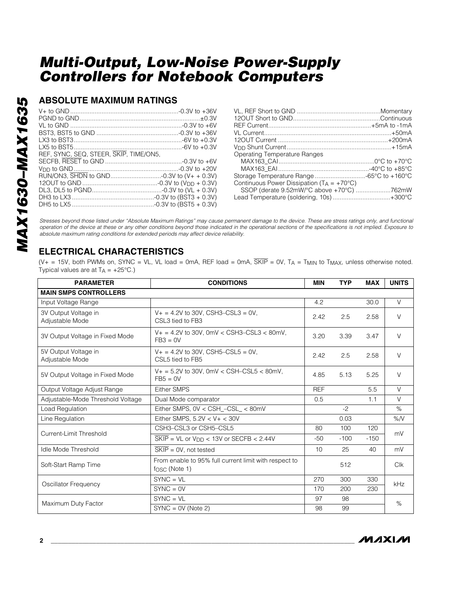### **ABSOLUTE MAXIMUM RATINGS**

| REF, SYNC, SEQ, STEER, SKIP, TIME/ON5, |  |
|----------------------------------------|--|
|                                        |  |
|                                        |  |
|                                        |  |
|                                        |  |
|                                        |  |
|                                        |  |
|                                        |  |

| Operating Temperature Ranges                          |  |
|-------------------------------------------------------|--|
|                                                       |  |
|                                                       |  |
| Storage Temperature Range 65°C to +160°C              |  |
| Continuous Power Dissipation ( $T_A = +70^{\circ}C$ ) |  |
| SSOP (derate 9.52mW/°C above +70°C) 762mW             |  |
| Lead Temperature (soldering, 10s)+300°C               |  |
|                                                       |  |

*Stresses beyond those listed under "Absolute Maximum Ratings" may cause permanent damage to the device. These are stress ratings only, and functional operation of the device at these or any other conditions beyond those indicated in the operational sections of the specifications is not implied. Exposure to absolute maximum rating conditions for extended periods may affect device reliability.*

### **ELECTRICAL CHARACTERISTICS**

(V+ = 15V, both PWMs on, SYNC = VL, VL load = 0mA, REF load = 0mA,  $\overline{SKIP}$  = 0V, T<sub>A</sub> = T<sub>MIN</sub> to T<sub>MAX</sub>, unless otherwise noted. Typical values are at  $T_A = +25^{\circ}C$ .)

| <b>PARAMETER</b>                        | <b>CONDITIONS</b>                                                                    | <b>MIN</b> | <b>TYP</b> | <b>MAX</b> | <b>UNITS</b> |  |
|-----------------------------------------|--------------------------------------------------------------------------------------|------------|------------|------------|--------------|--|
| <b>MAIN SMPS CONTROLLERS</b>            |                                                                                      |            |            |            |              |  |
| Input Voltage Range                     |                                                                                      | 4.2        |            | 30.0       | V            |  |
| 3V Output Voltage in<br>Adjustable Mode | $V_+ = 4.2V$ to 30V, CSH3-CSL3 = 0V,<br>CSL3 tied to FB3                             | 2.42       | 2.5        | 2.58       | $\vee$       |  |
| 3V Output Voltage in Fixed Mode         | $V_+ = 4.2V$ to 30V, 0mV < CSH3-CSL3 < 80mV,<br>$FB3 = 0V$                           | 3.20       | 3.39       | 3.47       | $\vee$       |  |
| 5V Output Voltage in<br>Adjustable Mode | $V_+ = 4.2V$ to 30V, CSH5-CSL5 = 0V,<br>CSL5 tied to FB5                             | 2.42       | 2.5        | 2.58       | $\vee$       |  |
| 5V Output Voltage in Fixed Mode         | $V_+ = 5.2V$ to 30V, 0mV < CSH-CSL5 < 80mV,<br>$FB5 = 0V$                            | 4.85       | 5.13       | 5.25       | $\vee$       |  |
| Output Voltage Adjust Range             | <b>Either SMPS</b>                                                                   | <b>REF</b> |            | 5.5        | $\vee$       |  |
| Adjustable-Mode Threshold Voltage       | Dual Mode comparator                                                                 | 0.5        |            | 1.1        | $\vee$       |  |
| Load Regulation                         | Either SMPS, 0V < CSH_-CSL_ < 80mV                                                   |            | $-2$       |            | $\%$         |  |
| Line Regulation                         | Either SMPS, $5.2V < V + < 30V$                                                      |            | 0.03       |            | %N           |  |
| Current-Limit Threshold                 | CSH3-CSL3 or CSH5-CSL5                                                               | 80         | 100        | 120        |              |  |
|                                         | $\overline{\text{SKIP}}$ = VL or V <sub>DD</sub> < 13V or SECFB < 2.44V              | $-50$      | $-100$     | $-150$     | mV           |  |
| <b>Idle Mode Threshold</b>              | $\overline{\text{SKIP}} = \text{OV}$ , not tested                                    | 10         | 25         | 40         | mV           |  |
| Soft-Start Ramp Time                    | From enable to 95% full current limit with respect to<br>$f$ <sub>OSC</sub> (Note 1) |            | 512        |            | Clk          |  |
| Oscillator Frequency                    | $SYNC = VL$                                                                          | 270        | 300        | 330        | kHz          |  |
|                                         | $SYNC = OV$                                                                          | 170        | 200        | 230        |              |  |
| Maximum Duty Factor                     | $SYNC = VL$                                                                          | 97         | 98         |            | %            |  |
|                                         | $SYNC = OV(Note 2)$                                                                  | 98         | 99         |            |              |  |

**MAXM**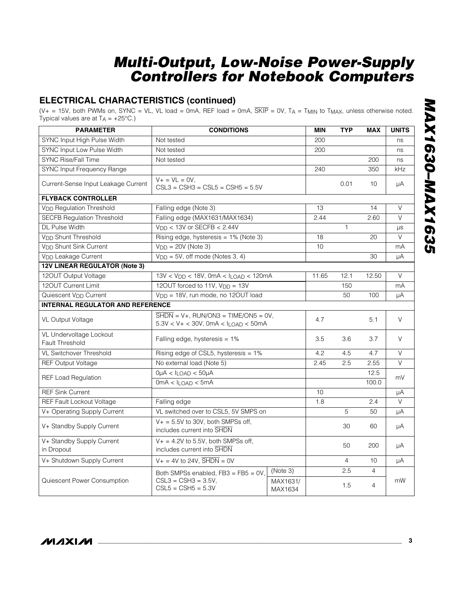### **ELECTRICAL CHARACTERISTICS (continued)**

 $(V_+ = 15V$ , both PWMs on, SYNC = VL, VL load = 0mA, REF load = 0mA,  $\overline{SKIP}$  = 0V, TA = T<sub>MIN</sub> to T<sub>MAX</sub>, unless otherwise noted. Typical values are at  $T_A = +25^{\circ}C$ .)

| <b>PARAMETER</b>                                  | <b>CONDITIONS</b>                                                                                                       |                     |       | <b>TYP</b>     | <b>MAX</b>     | <b>UNITS</b> |
|---------------------------------------------------|-------------------------------------------------------------------------------------------------------------------------|---------------------|-------|----------------|----------------|--------------|
| SYNC Input High Pulse Width                       | Not tested                                                                                                              |                     |       |                |                | ns           |
| SYNC Input Low Pulse Width                        | Not tested                                                                                                              |                     |       |                |                | ns           |
| <b>SYNC Rise/Fall Time</b>                        | Not tested                                                                                                              |                     |       |                | 200            | ns           |
| <b>SYNC Input Frequency Range</b>                 |                                                                                                                         |                     | 240   |                | 350            | kHz          |
| Current-Sense Input Leakage Current               | $V + = V L = 0 V,$<br>$CSL3 = CSH3 = CSL5 = CSH5 = 5.5V$                                                                |                     | 0.01  | 10             | μA             |              |
| <b>FLYBACK CONTROLLER</b>                         |                                                                                                                         |                     |       |                |                |              |
| <b>V<sub>DD</sub></b> Regulation Threshold        | Falling edge (Note 3)                                                                                                   |                     | 13    |                | 14             | $\vee$       |
| <b>SECFB Regulation Threshold</b>                 | Falling edge (MAX1631/MAX1634)                                                                                          |                     | 2.44  |                | 2.60           | $\vee$       |
| DL Pulse Width                                    | $V_{DD}$ < 13V or SECFB < 2.44V                                                                                         |                     |       | $\mathbf{1}$   |                | μs           |
| V <sub>DD</sub> Shunt Threshold                   | Rising edge, hysteresis = 1% (Note 3)                                                                                   |                     | 18    |                | 20             | $\vee$       |
| V <sub>DD</sub> Shunt Sink Current                | $VDD = 20V$ (Note 3)                                                                                                    |                     | 10    |                |                | mA           |
| V <sub>DD</sub> Leakage Current                   | $V_{DD} = 5V$ , off mode (Notes 3, 4)                                                                                   |                     |       |                | 30             | μA           |
| <b>12V LINEAR REGULATOR (Note 3)</b>              |                                                                                                                         |                     |       |                |                |              |
| 120UT Output Voltage                              | $13V < V_{DD} < 18V$ , 0mA < $I_{LOAD} < 120mA$                                                                         |                     | 11.65 | 12.1           | 12.50          | $\vee$       |
| 120UT Current Limit                               | 120UT forced to 11V, V <sub>DD</sub> = 13V                                                                              |                     |       | 150            |                | mA           |
| Quiescent V <sub>DD</sub> Current                 | V <sub>DD</sub> = 18V, run mode, no 120UT load                                                                          |                     |       | 50             | 100            | μA           |
| <b>INTERNAL REGULATOR AND REFERENCE</b>           |                                                                                                                         |                     |       |                |                |              |
| <b>VL Output Voltage</b>                          | $\overline{\text{SHDN}} = \text{V+}$ , RUN/ON3 = TIME/ON5 = 0V,<br>$5.3V < V + < 30V$ , 0mA $< I_{\text{LOAD}} < 50$ mA |                     | 4.7   |                | 5.1            | $\vee$       |
| VL Undervoltage Lockout<br><b>Fault Threshold</b> | Falling edge, hysteresis $= 1\%$                                                                                        |                     |       | 3.6            | 3.7            | $\vee$       |
| <b>VL Switchover Threshold</b>                    | Rising edge of CSL5, hysteresis = 1%                                                                                    |                     | 4.2   | 4.5            | 4.7            | $\vee$       |
| <b>REF Output Voltage</b>                         | No external load (Note 5)                                                                                               |                     | 2.45  | 2.5            | 2.55           | $\vee$       |
|                                                   | $0\mu A < I_{LOAD} < 50\mu A$                                                                                           |                     | 12.5  |                |                |              |
| <b>REF Load Regulation</b>                        | $0mA < I_{LOAD} < 5mA$                                                                                                  |                     |       |                | 100.0          | mV           |
| <b>REF Sink Current</b>                           |                                                                                                                         |                     | 10    |                |                | μA           |
| REF Fault Lockout Voltage                         | Falling edge                                                                                                            |                     | 1.8   |                | 2.4            | $\vee$       |
| V+ Operating Supply Current                       | VL switched over to CSL5, 5V SMPS on                                                                                    |                     |       | 5              | 50             | μA           |
| V+ Standby Supply Current                         | $V_+ = 5.5V$ to 30V, both SMPSs off,<br>includes current into SHDN                                                      |                     |       | 30             | 60             | μA           |
| V+ Standby Supply Current<br>in Dropout           | $V_+ = 4.2V$ to 5.5V, both SMPSs off,<br>includes current into SHDN                                                     |                     |       | 50             | 200            | μA           |
| V+ Shutdown Supply Current                        | $V_+ = 4V$ to 24V, $\overline{SHDN} = 0V$                                                                               |                     |       | $\overline{4}$ | 10             | μA           |
|                                                   | Both SMPSs enabled, FB3 = FB5 = 0V,                                                                                     | (Note 3)            |       | 2.5            | $\overline{4}$ |              |
| Quiescent Power Consumption                       | $CSL3 = CSH3 = 3.5V$<br>$CSL5 = CSH5 = 5.3V$                                                                            | MAX1631/<br>MAX1634 |       | 1.5            | $\overline{4}$ | mW           |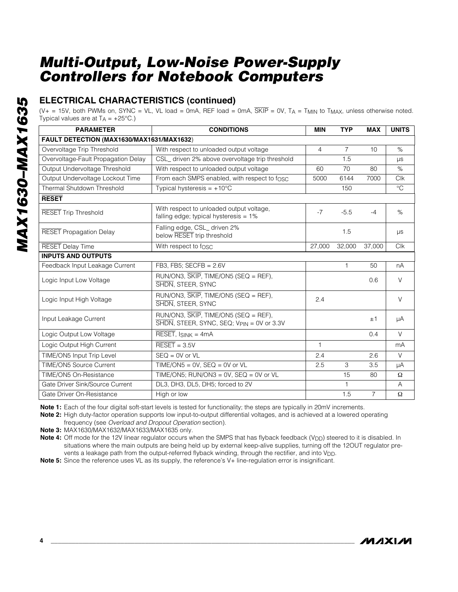**ELECTRICAL CHARACTERISTICS (continued)**

(V+ = 15V, both PWMs on, SYNC = VL, VL load = 0mA, REF load = 0mA,  $\overline{SKIP}$  = 0V, T<sub>A</sub> = T<sub>MIN</sub> to T<sub>MAX</sub>, unless otherwise noted. Typical values are at  $T_A = +25^{\circ}C$ .)

| <b>PARAMETER</b>                          | <b>CONDITIONS</b>                                                                                    | <b>MIN</b>     | <b>TYP</b>     | <b>MAX</b>     | <b>UNITS</b> |
|-------------------------------------------|------------------------------------------------------------------------------------------------------|----------------|----------------|----------------|--------------|
| FAULT DETECTION (MAX1630/MAX1631/MAX1632) |                                                                                                      |                |                |                |              |
| Overvoltage Trip Threshold                | With respect to unloaded output voltage                                                              | $\overline{4}$ | $\overline{7}$ | 10             | $\%$         |
| Overvoltage-Fault Propagation Delay       | CSL_ driven 2% above overvoltage trip threshold                                                      |                | 1.5            |                | $\mu s$      |
| Output Undervoltage Threshold             | With respect to unloaded output voltage                                                              | 60             | 70             | 80             | %            |
| Output Undervoltage Lockout Time          | From each SMPS enabled, with respect to fosc                                                         | 5000           | 6144           | 7000           | <b>Clk</b>   |
| Thermal Shutdown Threshold                | Typical hysteresis = $+10^{\circ}$ C                                                                 |                | 150            |                | $^{\circ}C$  |
| <b>RESET</b>                              |                                                                                                      |                |                |                |              |
| <b>RESET Trip Threshold</b>               | With respect to unloaded output voltage,<br>falling edge; typical hysteresis $= 1\%$                 | $-7$           | $-5.5$         | $-4$           | %            |
| <b>RESET Propagation Delay</b>            | Falling edge, CSL driven 2%<br>below RESET trip threshold                                            |                | 1.5            |                | $\mu s$      |
| <b>RESET Delay Time</b>                   | With respect to fosc                                                                                 | 27,000         | 32,000         | 37,000         | <b>Clk</b>   |
| <b>INPUTS AND OUTPUTS</b>                 |                                                                                                      |                |                |                |              |
| Feedback Input Leakage Current            | FB3, FB5; SECFB = $2.6V$                                                                             |                | $\mathbf{1}$   | 50             | nA           |
| Logic Input Low Voltage                   | RUN/ON3, SKIP, TIME/ON5 (SEQ = REF),<br>SHDN, STEER, SYNC                                            |                |                | 0.6            | $\vee$       |
| Logic Input High Voltage                  | RUN/ON3, SKIP, TIME/ON5 (SEQ = REF),<br>SHDN, STEER, SYNC                                            | 2.4            |                |                | $\vee$       |
| Input Leakage Current                     | $RUN/ON3$ , $\overline{SKIP}$ , $TIME/ON5$ (SEQ = REF),<br>SHDN, STEER, SYNC, SEQ; VPIN = 0V or 3.3V |                |                | ±1             | μA           |
| Logic Output Low Voltage                  | $\overline{\text{RESET}}$ , ISINK = 4mA                                                              |                |                | 0.4            | V            |
| Logic Output High Current                 | $\overline{\text{RESET}} = 3.5V$                                                                     | $\mathbf{1}$   |                |                | mA           |
| TIME/ON5 Input Trip Level                 | $SEQ = 0V$ or $VL$                                                                                   | 2.4            |                | 2.6            | $\vee$       |
| TIME/ON5 Source Current                   | TIME/ON5 = $0V$ , SEQ = $0V$ or VL                                                                   | 2.5            | 3              | 3.5            | μA           |
| TIME/ON5 On-Resistance                    | TIME/ON5; RUN/ON3 = 0V, $SEQ = 0V$ or VL                                                             |                | 15             | 80             | $\Omega$     |
| Gate Driver Sink/Source Current           | DL3, DH3, DL5, DH5; forced to 2V                                                                     |                | 1              |                | A            |
| Gate Driver On-Resistance                 | High or low                                                                                          |                | 1.5            | $\overline{7}$ | $\Omega$     |

**Note 1:** Each of the four digital soft-start levels is tested for functionality; the steps are typically in 20mV increments.

**Note 2:** High duty-factor operation supports low input-to-output differential voltages, and is achieved at a lowered operating frequency (see *Overload and Dropout Operation* section).

**Note 3:** MAX1630/MAX1632/MAX1633/MAX1635 only.

Note 4: Off mode for the 12V linear regulator occurs when the SMPS that has flyback feedback (V<sub>DD</sub>) steered to it is disabled. In situations where the main outputs are being held up by external keep-alive supplies, turning off the 12OUT regulator prevents a leakage path from the output-referred flyback winding, through the rectifier, and into V<sub>DD</sub>.

**Note 5:** Since the reference uses VL as its supply, the reference's V+ line-regulation error is insignificant.

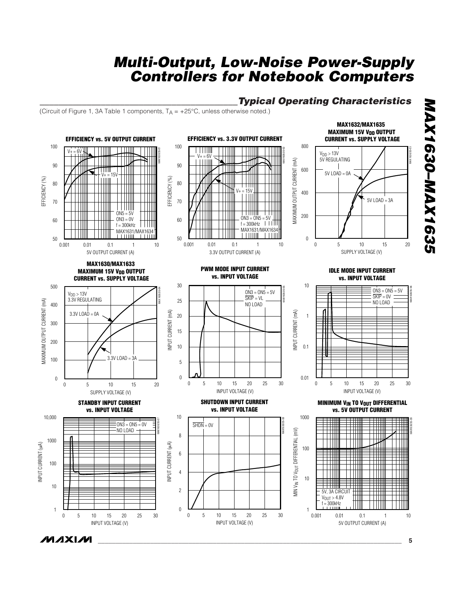### *\_\_\_\_\_\_\_\_\_\_\_\_\_\_\_\_\_\_\_\_\_\_\_\_\_\_\_\_\_\_\_\_\_\_\_\_\_\_\_\_\_\_Typical Operating Characteristics*

**MAX1632/MAX1635** 

(Circuit of Figure 1, 3A Table 1 components,  $T_A = +25^{\circ}C$ , unless otherwise noted.)

**MAXM** 



*MAX1630–MAX1635* **MAX1630-MAX1635**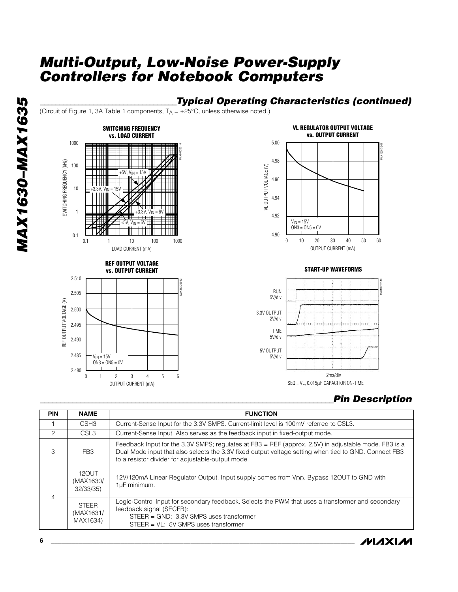### *\_\_\_\_\_\_\_\_\_\_\_\_\_\_\_\_\_\_\_\_\_\_\_\_\_\_\_\_\_\_\_\_\_\_\_\_Typical Operating Characteristics (continued)*

(Circuit of Figure 1, 3A Table 1 components,  $T_A = +25^{\circ}C$ , unless otherwise noted.)



5 6

OUTPUT CURRENT (mA)

3 4



30 40



### *\_\_\_\_\_\_\_\_\_\_\_\_\_\_\_\_\_\_\_\_\_\_\_\_\_\_\_\_\_\_\_\_\_\_\_\_\_\_\_\_\_\_\_\_\_\_\_\_\_\_\_\_\_\_\_\_\_\_\_\_\_\_\_\_\_\_\_\_\_\_\_\_\_\_Pin Description*

50 60

MAX 1630/35-11

| <b>PIN</b>                      | <b>NAME</b>                           | <b>FUNCTION</b>                                                                                                                                                                                                                                                    |  |  |  |
|---------------------------------|---------------------------------------|--------------------------------------------------------------------------------------------------------------------------------------------------------------------------------------------------------------------------------------------------------------------|--|--|--|
|                                 | CSH <sub>3</sub>                      | Current-Sense Input for the 3.3V SMPS. Current-limit level is 100mV referred to CSL3.                                                                                                                                                                              |  |  |  |
| 2                               | CSL3                                  | Current-Sense Input. Also serves as the feedback input in fixed-output mode.                                                                                                                                                                                       |  |  |  |
| 3                               | FB <sub>3</sub>                       | Feedback Input for the 3.3V SMPS; regulates at FB3 = REF (approx. 2.5V) in adjustable mode. FB3 is a<br>Dual Mode input that also selects the 3.3V fixed output voltage setting when tied to GND. Connect FB3<br>to a resistor divider for adjustable-output mode. |  |  |  |
| 120UT<br>(MAX1630/<br>32/33/35) |                                       | 12V/120mA Linear Regulator Output. Input supply comes from V <sub>DD</sub> . Bypass 12OUT to GND with<br>1µF minimum.                                                                                                                                              |  |  |  |
| $\overline{4}$                  | <b>STEER</b><br>(MAX1631/<br>MAX1634) | Logic-Control Input for secondary feedback. Selects the PWM that uses a transformer and secondary<br>feedback signal (SECFB):<br>$STEER = GND: 3.3V SMPS uses transformer$<br>$STEER = VL: 5V SMPS uses transformer$                                               |  |  |  |



2.480

 $\theta$ 

1 2

 $ON3 = ON5 = OV$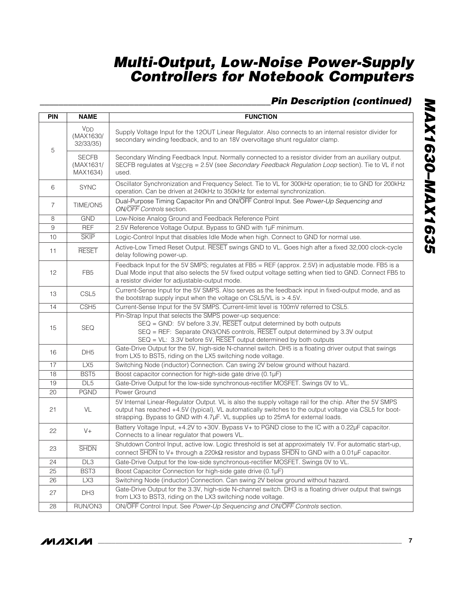### *\_\_\_\_\_\_\_\_\_\_\_\_\_\_\_\_\_\_\_\_\_\_\_\_\_\_\_\_\_\_\_\_\_\_\_\_\_\_\_\_\_\_\_\_\_\_\_\_\_Pin Description (continued)*

| <b>PIN</b>        | <b>NAME</b>                                     | <b>FUNCTION</b>                                                                                                                                                                                                                                                                                      |  |  |  |
|-------------------|-------------------------------------------------|------------------------------------------------------------------------------------------------------------------------------------------------------------------------------------------------------------------------------------------------------------------------------------------------------|--|--|--|
| 5                 | <b>V<sub>DD</sub></b><br>(MAX1630/<br>32/33/35) | Supply Voltage Input for the 120UT Linear Regulator. Also connects to an internal resistor divider for<br>secondary winding feedback, and to an 18V overvoltage shunt regulator clamp.                                                                                                               |  |  |  |
|                   | <b>SECFB</b><br>(MAX1631/<br>MAX1634)           | Secondary Winding Feedback Input. Normally connected to a resistor divider from an auxiliary output.<br>SECFB regulates at VSECFB = 2.5V (see Secondary Feedback Regulation Loop section). Tie to VL if not<br>used.                                                                                 |  |  |  |
| 6                 | <b>SYNC</b>                                     | Oscillator Synchronization and Frequency Select. Tie to VL for 300kHz operation; tie to GND for 200kHz<br>operation. Can be driven at 240kHz to 350kHz for external synchronization.                                                                                                                 |  |  |  |
| $\overline{7}$    | TIME/ON5                                        | Dual-Purpose Timing Capacitor Pin and ON/OFF Control Input. See Power-Up Sequencing and<br>ON/OFF Controls section.                                                                                                                                                                                  |  |  |  |
| 8                 | <b>GND</b>                                      | Low-Noise Analog Ground and Feedback Reference Point                                                                                                                                                                                                                                                 |  |  |  |
| 9                 | <b>REF</b>                                      | 2.5V Reference Voltage Output. Bypass to GND with 1µF minimum.                                                                                                                                                                                                                                       |  |  |  |
| 10                | <b>SKIP</b>                                     | Logic-Control Input that disables Idle Mode when high. Connect to GND for normal use.                                                                                                                                                                                                                |  |  |  |
| 11                | <b>RESET</b>                                    | Active-Low Timed Reset Output. RESET swings GND to VL. Goes high after a fixed 32,000 clock-cycle<br>delay following power-up.                                                                                                                                                                       |  |  |  |
| $12 \overline{ }$ | FB <sub>5</sub>                                 | Feedback Input for the 5V SMPS; regulates at FB5 = REF (approx. 2.5V) in adjustable mode. FB5 is a<br>Dual Mode input that also selects the 5V fixed output voltage setting when tied to GND. Connect FB5 to<br>a resistor divider for adjustable-output mode.                                       |  |  |  |
| 13                | CSL <sub>5</sub>                                | Current-Sense Input for the 5V SMPS. Also serves as the feedback input in fixed-output mode, and as<br>the bootstrap supply input when the voltage on CSL5/VL is $> 4.5V$ .                                                                                                                          |  |  |  |
| 14                | CSH <sub>5</sub>                                | Current-Sense Input for the 5V SMPS. Current-limit level is 100mV referred to CSL5.                                                                                                                                                                                                                  |  |  |  |
| 15                | <b>SEQ</b>                                      | Pin-Strap Input that selects the SMPS power-up sequence:<br>SEQ = GND: 5V before 3.3V, RESET output determined by both outputs<br>SEQ = REF: Separate ON3/ON5 controls, RESET output determined by 3.3V output<br>SEQ = VL: 3.3V before 5V, RESET output determined by both outputs                  |  |  |  |
| 16                | DH <sub>5</sub>                                 | Gate-Drive Output for the 5V, high-side N-channel switch. DH5 is a floating driver output that swings<br>from LX5 to BST5, riding on the LX5 switching node voltage.                                                                                                                                 |  |  |  |
| 17                | LX5                                             | Switching Node (inductor) Connection. Can swing 2V below ground without hazard.                                                                                                                                                                                                                      |  |  |  |
| 18                | BST <sub>5</sub>                                | Boost capacitor connection for high-side gate drive (0.1µF)                                                                                                                                                                                                                                          |  |  |  |
| 19                | DL5                                             | Gate-Drive Output for the low-side synchronous-rectifier MOSFET. Swings OV to VL.                                                                                                                                                                                                                    |  |  |  |
| 20                | <b>PGND</b>                                     | Power Ground                                                                                                                                                                                                                                                                                         |  |  |  |
| 21                | VL                                              | 5V Internal Linear-Regulator Output. VL is also the supply voltage rail for the chip. After the 5V SMPS<br>output has reached +4.5V (typical), VL automatically switches to the output voltage via CSL5 for boot-<br>strapping. Bypass to GND with 4.7µF. VL supplies up to 25mA for external loads. |  |  |  |
| 22                | $V +$                                           | Battery Voltage Input, +4.2V to +30V. Bypass V+ to PGND close to the IC with a 0.22µF capacitor.<br>Connects to a linear regulator that powers VL.                                                                                                                                                   |  |  |  |
| 23                | <b>SHDN</b>                                     | Shutdown Control Input, active low. Logic threshold is set at approximately 1V. For automatic start-up,<br>connect SHDN to V+ through a 220kΩ resistor and bypass SHDN to GND with a 0.01µF capacitor.                                                                                               |  |  |  |
| 24                | DL <sub>3</sub>                                 | Gate-Drive Output for the low-side synchronous-rectifier MOSFET. Swings OV to VL.                                                                                                                                                                                                                    |  |  |  |
| 25                | BST3                                            | Boost Capacitor Connection for high-side gate drive (0.1µF)                                                                                                                                                                                                                                          |  |  |  |
| 26                | LX3                                             | Switching Node (inductor) Connection. Can swing 2V below ground without hazard.                                                                                                                                                                                                                      |  |  |  |
| 27                | DH3                                             | Gate-Drive Output for the 3.3V, high-side N-channel switch. DH3 is a floating driver output that swings<br>from LX3 to BST3, riding on the LX3 switching node voltage.                                                                                                                               |  |  |  |
| 28                | RUN/ON3                                         | ON/OFF Control Input. See Power-Up Sequencing and ON/OFF Controls section.                                                                                                                                                                                                                           |  |  |  |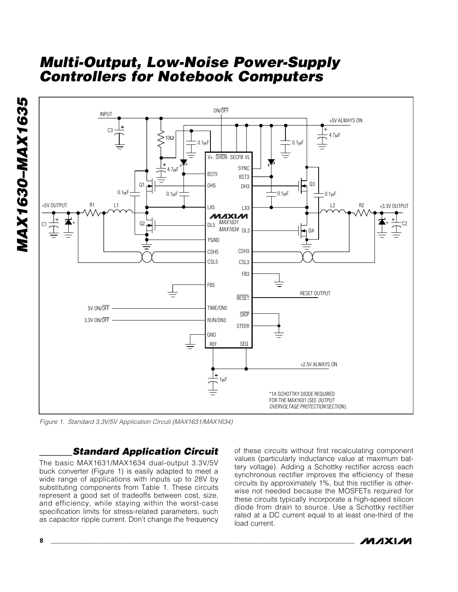

*Figure 1. Standard 3.3V/5V Application Circuit (MAX1631/MAX1634)*

### *\_\_\_\_\_\_\_Standard Application Circuit*

**8 \_\_\_\_\_\_\_\_\_\_\_\_\_\_\_\_\_\_\_\_\_\_\_\_\_\_\_\_\_\_\_\_\_\_\_\_\_\_\_\_\_\_\_\_\_\_\_\_\_\_\_\_\_\_\_\_\_\_\_\_\_\_\_\_\_\_\_\_\_\_\_\_\_\_\_\_\_\_\_\_\_\_\_\_\_\_\_**

The basic MAX1631/MAX1634 dual-output 3.3V/5V buck converter (Figure 1) is easily adapted to meet a wide range of applications with inputs up to 28V by substituting components from Table 1. These circuits represent a good set of tradeoffs between cost, size, and efficiency, while staying within the worst-case specification limits for stress-related parameters, such as capacitor ripple current. Don't change the frequency

of these circuits without first recalculating component values (particularly inductance value at maximum battery voltage). Adding a Schottky rectifier across each synchronous rectifier improves the efficiency of these circuits by approximately 1%, but this rectifier is otherwise not needed because the MOSFETs required for these circuits typically incorporate a high-speed silicon diode from drain to source. Use a Schottky rectifier rated at a DC current equal to at least one-third of the load current.

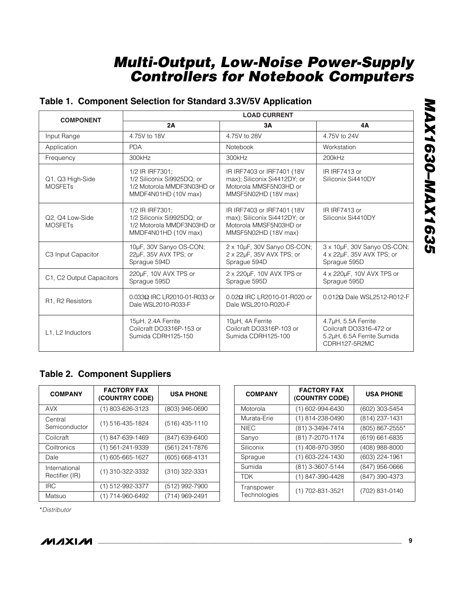### **Table 1. Component Selection for Standard 3.3V/5V Application**

| <b>COMPONENT</b>                              | <b>LOAD CURRENT</b>                                                                                 |                                                                                                               |                                                                                               |  |  |  |
|-----------------------------------------------|-----------------------------------------------------------------------------------------------------|---------------------------------------------------------------------------------------------------------------|-----------------------------------------------------------------------------------------------|--|--|--|
|                                               | 2A                                                                                                  | 3Α                                                                                                            | 4A                                                                                            |  |  |  |
| Input Range                                   | 4.75V to 18V                                                                                        | 4.75V to 28V                                                                                                  | 4.75V to 24V                                                                                  |  |  |  |
| Application                                   | <b>PDA</b>                                                                                          | Notebook                                                                                                      | Workstation                                                                                   |  |  |  |
| Frequency                                     | 300kHz                                                                                              | 300kHz                                                                                                        | 200kHz                                                                                        |  |  |  |
| Q1, Q3 High-Side<br><b>MOSFET<sub>S</sub></b> | 1/2 IR IRF7301;<br>1/2 Siliconix Si9925DQ; or<br>1/2 Motorola MMDF3N03HD or<br>MMDF4N01HD (10V max) | IR IRF7403 or IRF7401 (18V)<br>max); Siliconix Si4412DY; or<br>Motorola MMSF5N03HD or<br>MMSF5N02HD (18V max) | IR IRF7413 or<br>Siliconix Si4410DY                                                           |  |  |  |
| Q2, Q4 Low-Side<br><b>MOSFETs</b>             | 1/2 IR IRF7301;<br>1/2 Siliconix Si9925DQ; or<br>1/2 Motorola MMDF3N03HD or<br>MMDF4N01HD (10V max) | IR IRF7403 or IRF7401 (18V<br>max); Siliconix Si4412DY; or<br>Motorola MMSF5N03HD or<br>MMSF5N02HD (18V max)  | IR IRF7413 or<br>Siliconix Si4410DY                                                           |  |  |  |
| C3 Input Capacitor                            | 10µF, 30V Sanyo OS-CON;<br>22µF, 35V AVX TPS; or<br>Sprague 594D                                    | 2 x 10µF, 30V Sanyo OS-CON;<br>2 x 22µF, 35V AVX TPS; or<br>Sprague 594D                                      | 3 x 10µF, 30V Sanyo OS-CON;<br>4 x 22µF, 35V AVX TPS; or<br>Sprague 595D                      |  |  |  |
| C1, C2 Output Capacitors                      | 220µF, 10V AVX TPS or<br>Sprague 595D                                                               | 2 x 220µF, 10V AVX TPS or<br>Sprague 595D                                                                     | 4 x 220µF, 10V AVX TPS or<br>Sprague 595D                                                     |  |  |  |
| R1, R2 Resistors                              | 0.033Ω IRC LR2010-01-R033 or<br>Dale WSL2010-R033-F                                                 | 0.02Ω IRC LR2010-01-R020 or<br>Dale WSL2010-R020-F                                                            | $0.012\Omega$ Dale WSL2512-R012-F                                                             |  |  |  |
| L1, L2 Inductors                              | 15µH, 2.4A Ferrite<br>Coilcraft DO3316P-153 or<br>Sumida CDRH125-150                                | 10µH, 4A Ferrite<br>Coilcraft DO3316P-103 or<br>Sumida CDRH125-100                                            | 4.7µH, 5.5A Ferrite<br>Coilcraft DO3316-472 or<br>5.2uH, 6.5A Ferrite Sumida<br>CDRH127-5R2MC |  |  |  |

### **Table 2. Component Suppliers**

| <b>COMPANY</b>                  | <b>FACTORY FAX</b><br>(COUNTRY CODE) | <b>USA PHONE</b>   |
|---------------------------------|--------------------------------------|--------------------|
| <b>AVX</b>                      | (1) 803-626-3123                     | (803) 946-0690     |
| Central<br>Semiconductor        | $(1)$ 516-435-1824                   | $(516)$ 435-1110   |
| Coilcraft                       | $(1)$ 847-639-1469                   | (847) 639-6400     |
| Coiltronics                     | (1) 561-241-9339                     | (561) 241-7876     |
| Dale                            | $(1)$ 605-665-1627                   | $(605) 668 - 4131$ |
| International<br>Rectifier (IR) | $(1)$ 310-322-3332                   | (310) 322-3331     |
| <b>IRC</b>                      | (1) 512-992-3377                     | (512) 992-7900     |
| Matsuo                          | (1) 714-960-6492                     | (714) 969-2491     |

| <b>COMPANY</b>             | <b>FACTORY FAX</b><br>(COUNTRY CODE) | <b>USA PHONE</b>   |
|----------------------------|--------------------------------------|--------------------|
| Motorola                   | (1) 602-994-6430                     | (602) 303-5454     |
| Murata-Erie                | (1) 814-238-0490                     | (814) 237-1431     |
| <b>NIEC</b>                | (81) 3-3494-7414                     | (805) 867-2555*    |
| Sanyo                      | (81) 7-2070-1174                     | $(619) 661 - 6835$ |
| Siliconix                  | (1) 408-970-3950                     | (408) 988-8000     |
| Sprague                    | (1) 603-224-1430                     | (603) 224-1961     |
| Sumida                     | (81) 3-3607-5144                     | (847) 956-0666     |
| <b>TDK</b>                 | (1) 847-390-4428                     | (847) 390-4373     |
| Transpower<br>Technologies | $(1)$ 702-831-3521                   | (702) 831-0140     |

\**Distributor*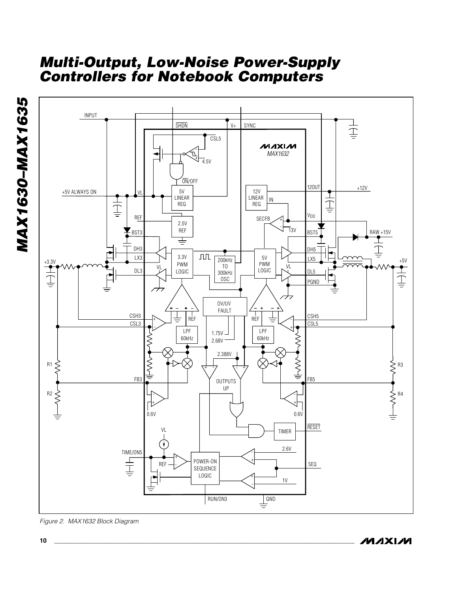

*Figure 2. MAX1632 Block Diagram*

*MAX1630–MAX1635*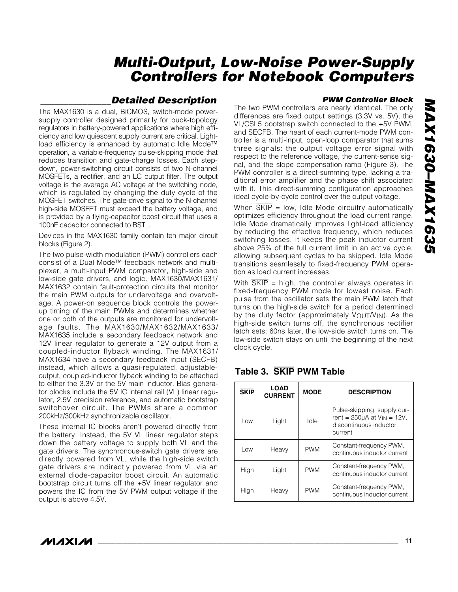### *\_\_\_\_\_\_\_\_\_\_\_\_\_\_\_Detailed Description*

The MAX1630 is a dual, BiCMOS, switch-mode powersupply controller designed primarily for buck-topology regulators in battery-powered applications where high efficiency and low quiescent supply current are critical. Lightload efficiency is enhanced by automatic Idle Mode™ operation, a variable-frequency pulse-skipping mode that reduces transition and gate-charge losses. Each stepdown, power-switching circuit consists of two N-channel MOSFETs, a rectifier, and an LC output filter. The output voltage is the average AC voltage at the switching node, which is regulated by changing the duty cycle of the MOSFET switches. The gate-drive signal to the N-channel high-side MOSFET must exceed the battery voltage, and is provided by a flying-capacitor boost circuit that uses a 100nF capacitor connected to BST\_.

Devices in the MAX1630 family contain ten major circuit blocks (Figure 2).

The two pulse-width modulation (PWM) controllers each consist of a Dual Mode™ feedback network and multiplexer, a multi-input PWM comparator, high-side and low-side gate drivers, and logic. MAX1630/MAX1631/ MAX1632 contain fault-protection circuits that monitor the main PWM outputs for undervoltage and overvoltage. A power-on sequence block controls the powerup timing of the main PWMs and determines whether one or both of the outputs are monitored for undervoltage faults. The MAX1630/MAX1632/MAX1633/ MAX1635 include a secondary feedback network and 12V linear regulator to generate a 12V output from a coupled-inductor flyback winding. The MAX1631/ MAX1634 have a secondary feedback input (SECFB) instead, which allows a quasi-regulated, adjustableoutput, coupled-inductor flyback winding to be attached to either the 3.3V or the 5V main inductor. Bias generator blocks include the 5V IC internal rail (VL) linear regulator, 2.5V precision reference, and automatic bootstrap switchover circuit. The PWMs share a common 200kHz/300kHz synchronizable oscillator.

These internal IC blocks aren't powered directly from the battery. Instead, the 5V VL linear regulator steps down the battery voltage to supply both VL and the gate drivers. The synchronous-switch gate drivers are directly powered from VL, while the high-side switch gate drivers are indirectly powered from VL via an external diode-capacitor boost circuit. An automatic bootstrap circuit turns off the +5V linear regulator and powers the IC from the 5V PWM output voltage if the output is above 4.5V.

#### *PWM Controller Block*

The two PWM controllers are nearly identical. The only differences are fixed output settings (3.3V vs. 5V), the VL/CSL5 bootstrap switch connected to the +5V PWM, and SECFB. The heart of each current-mode PWM controller is a multi-input, open-loop comparator that sums three signals: the output voltage error signal with respect to the reference voltage, the current-sense signal, and the slope compensation ramp (Figure 3). The PWM controller is a direct-summing type, lacking a traditional error amplifier and the phase shift associated with it. This direct-summing configuration approaches ideal cycle-by-cycle control over the output voltage.

When SKIP = low, Idle Mode circuitry automatically optimizes efficiency throughout the load current range. Idle Mode dramatically improves light-load efficiency by reducing the effective frequency, which reduces switching losses. It keeps the peak inductor current above 25% of the full current limit in an active cycle, allowing subsequent cycles to be skipped. Idle Mode transitions seamlessly to fixed-frequency PWM operation as load current increases.

With  $\overline{\text{SKIP}}$  = high, the controller always operates in fixed-frequency PWM mode for lowest noise. Each pulse from the oscillator sets the main PWM latch that turns on the high-side switch for a period determined by the duty factor (approximately  $V_{\text{OUT}}/V_{\text{IN}}$ ). As the high-side switch turns off, the synchronous rectifier latch sets; 60ns later, the low-side switch turns on. The low-side switch stays on until the beginning of the next clock cycle.

| <b>SKIP</b> | <b>LOAD</b><br><b>CURRENT</b> | <b>MODE</b> | <b>DESCRIPTION</b>                                                                                       |
|-------------|-------------------------------|-------------|----------------------------------------------------------------------------------------------------------|
| Low         | Light                         | Idle        | Pulse-skipping, supply cur-<br>rent = $250\mu A$ at $V_{IN}$ = 12V.<br>discontinuous inductor<br>current |
| Low         | Heavy                         | <b>PWM</b>  | Constant-frequency PWM,<br>continuous inductor current                                                   |
| High        | Light                         | <b>PWM</b>  | Constant-frequency PWM,<br>continuous inductor current                                                   |
| High        | Heavy                         | <b>PWM</b>  | Constant-frequency PWM,<br>continuous inductor current                                                   |

#### **Table 3. SKIP PWM Table**

### *IVIJIXIJV*I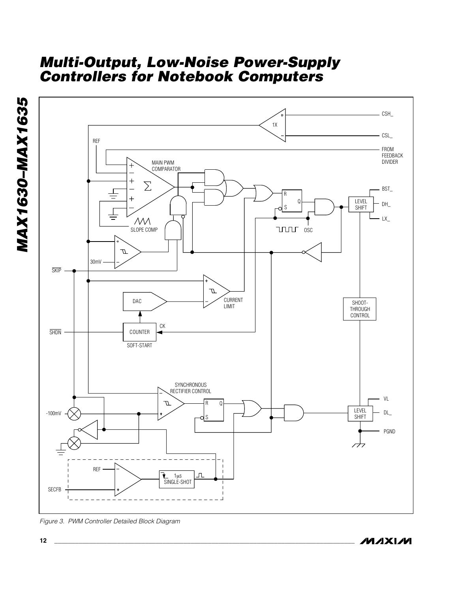

*Figure 3. PWM Controller Detailed Block Diagram*

**MAXIM** 

*MAX1630–MAX1635*

**MAX1630-MAX1635**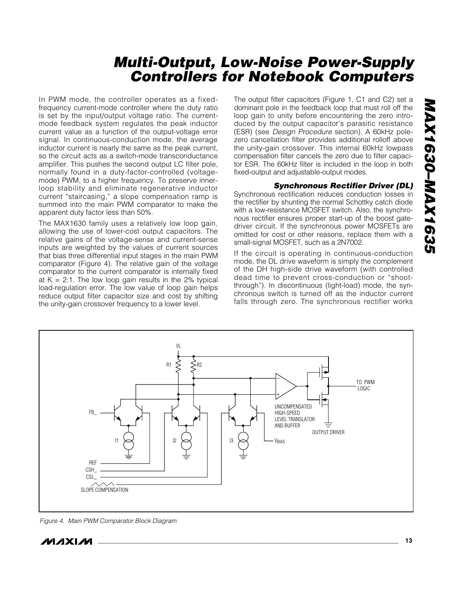In PWM mode, the controller operates as a fixedfrequency current-mode controller where the duty ratio is set by the input/output voltage ratio. The currentmode feedback system regulates the peak inductor current value as a function of the output-voltage error signal. In continuous-conduction mode, the average inductor current is nearly the same as the peak current, so the circuit acts as a switch-mode transconductance amplifier. This pushes the second output LC filter pole, normally found in a duty-factor-controlled (voltagemode) PWM, to a higher frequency. To preserve innerloop stability and eliminate regenerative inductor current "staircasing," a slope compensation ramp is summed into the main PWM comparator to make the apparent duty factor less than 50%.

The MAX1630 family uses a relatively low loop gain, allowing the use of lower-cost output capacitors. The relative gains of the voltage-sense and current-sense inputs are weighted by the values of current sources that bias three differential input stages in the main PWM comparator (Figure 4). The relative gain of the voltage comparator to the current comparator is internally fixed at  $K = 2:1$ . The low loop gain results in the 2% typical load-regulation error. The low value of loop gain helps reduce output filter capacitor size and cost by shifting the unity-gain crossover frequency to a lower level.

The output filter capacitors (Figure 1, C1 and C2) set a dominant pole in the feedback loop that must roll off the loop gain to unity before encountering the zero introduced by the output capacitor's parasitic resistance (ESR) (see *Design Procedure* section). A 60kHz polezero cancellation filter provides additional rolloff above the unity-gain crossover. This internal 60kHz lowpass compensation filter cancels the zero due to filter capacitor ESR. The 60kHz filter is included in the loop in both fixed-output and adjustable-output modes.

#### *Synchronous Rectifier Driver (DL)*

Synchronous rectification reduces conduction losses in the rectifier by shunting the normal Schottky catch diode with a low-resistance MOSFET switch. Also, the synchronous rectifier ensures proper start-up of the boost gatedriver circuit. If the synchronous power MOSFETs are omitted for cost or other reasons, replace them with a small-signal MOSFET, such as a 2N7002.

If the circuit is operating in continuous-conduction mode, the DL drive waveform is simply the complement of the DH high-side drive waveform (with controlled dead time to prevent cross-conduction or "shootthrough"). In discontinuous (light-load) mode, the synchronous switch is turned off as the inductor current falls through zero. The synchronous rectifier works



*Figure 4. Main PWM Comparator Block Diagram*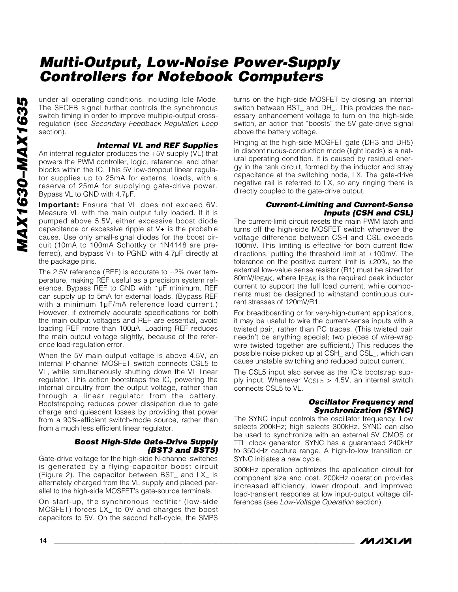under all operating conditions, including Idle Mode. The SECFB signal further controls the synchronous switch timing in order to improve multiple-output crossregulation (see *Secondary Feedback Regulation Loop* section).

#### *Internal VL and REF Supplies*

An internal regulator produces the +5V supply (VL) that powers the PWM controller, logic, reference, and other blocks within the IC. This 5V low-dropout linear regulator supplies up to 25mA for external loads, with a reserve of 25mA for supplying gate-drive power. Bypass VL to GND with 4.7µF.

**Important:** Ensure that VL does not exceed 6V. Measure VL with the main output fully loaded. If it is pumped above 5.5V, either excessive boost diode capacitance or excessive ripple at V+ is the probable cause. Use only small-signal diodes for the boost circuit (10mA to 100mA Schottky or 1N4148 are preferred), and bypass V+ to PGND with 4.7µF directly at the package pins.

The 2.5V reference (REF) is accurate to  $\pm 2\%$  over temperature, making REF useful as a precision system reference. Bypass REF to GND with 1µF minimum. REF can supply up to 5mA for external loads. (Bypass REF with a minimum 1µF/mA reference load current.) However, if extremely accurate specifications for both the main output voltages and REF are essential, avoid loading REF more than 100µA. Loading REF reduces the main output voltage slightly, because of the reference load-regulation error.

When the 5V main output voltage is above 4.5V, an internal P-channel MOSFET switch connects CSL5 to VL, while simultaneously shutting down the VL linear regulator. This action bootstraps the IC, powering the internal circuitry from the output voltage, rather than through a linear regulator from the battery. Bootstrapping reduces power dissipation due to gate charge and quiescent losses by providing that power from a 90%-efficient switch-mode source, rather than from a much less efficient linear regulator.

#### *Boost High-Side Gate-Drive Supply (BST3 and BST5)*

Gate-drive voltage for the high-side N-channel switches is generated by a flying-capacitor boost circuit (Figure 2). The capacitor between BST\_ and LX\_ is alternately charged from the VL supply and placed parallel to the high-side MOSFET's gate-source terminals.

On start-up, the synchronous rectifier (low-side MOSFET) forces LX\_ to 0V and charges the boost capacitors to 5V. On the second half-cycle, the SMPS

turns on the high-side MOSFET by closing an internal switch between BST\_ and DH\_. This provides the necessary enhancement voltage to turn on the high-side switch, an action that "boosts" the 5V gate-drive signal above the battery voltage.

Ringing at the high-side MOSFET gate (DH3 and DH5) in discontinuous-conduction mode (light loads) is a natural operating condition. It is caused by residual energy in the tank circuit, formed by the inductor and stray capacitance at the switching node, LX. The gate-drive negative rail is referred to LX, so any ringing there is directly coupled to the gate-drive output.

#### *Current-Limiting and Current-Sense Inputs (CSH and CSL)*

The current-limit circuit resets the main PWM latch and turns off the high-side MOSFET switch whenever the voltage difference between CSH and CSL exceeds 100mV. This limiting is effective for both current flow directions, putting the threshold limit at  $±100$ mV. The tolerance on the positive current limit is  $\pm 20\%$ , so the external low-value sense resistor (R1) must be sized for 80mV/IPEAK, where IPEAK is the required peak inductor current to support the full load current, while components must be designed to withstand continuous current stresses of 120mV/R1.

For breadboarding or for very-high-current applications, it may be useful to wire the current-sense inputs with a twisted pair, rather than PC traces. (This twisted pair needn't be anything special; two pieces of wire-wrap wire twisted together are sufficient.) This reduces the possible noise picked up at CSH\_ and CSL\_, which can cause unstable switching and reduced output current.

The CSL5 input also serves as the IC's bootstrap supply input. Whenever  $VCSL5 > 4.5V$ , an internal switch connects CSL5 to VL.

#### *Oscillator Frequency and Synchronization (SYNC)*

The SYNC input controls the oscillator frequency. Low selects 200kHz; high selects 300kHz. SYNC can also be used to synchronize with an external 5V CMOS or TTL clock generator. SYNC has a guaranteed 240kHz to 350kHz capture range. A high-to-low transition on SYNC initiates a new cycle.

300kHz operation optimizes the application circuit for component size and cost. 200kHz operation provides increased efficiency, lower dropout, and improved load-transient response at low input-output voltage differences (see *Low-Voltage Operation* section).

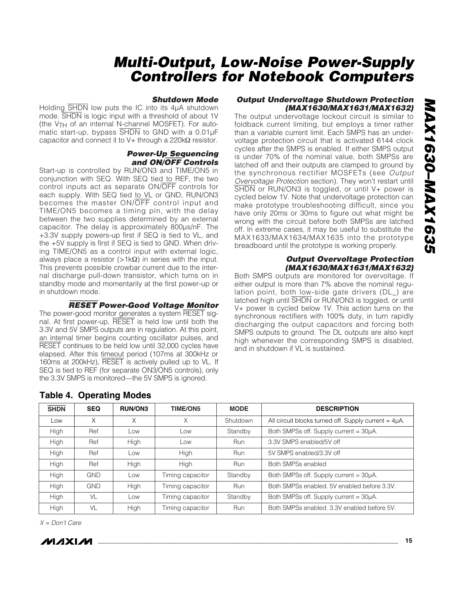#### *Shutdown Mode*

Holding SHDN low puts the IC into its 4µA shutdown mode. SHDN is logic input with a threshold of about 1V (the VTH of an internal N-channel MOSFET). For automatic start-up, bypass SHDN to GND with a 0.01µF capacitor and connect it to V+ through a 220kΩ resistor.

#### *Power-Up Sequencing and ON/*OFF *Controls*

Start-up is controlled by RUN/ON3 and TIME/ON5 in conjunction with SEQ. With SEQ tied to REF, the two control inputs act as separate ON/OFF controls for each supply. With SEQ tied to VL or GND, RUN/ON3 becomes the master ON/OFF control input and TIME/ON5 becomes a timing pin, with the delay between the two supplies determined by an external capacitor. The delay is approximately 800µs/nF. The +3.3V supply powers-up first if SEQ is tied to VL, and the +5V supply is first if SEQ is tied to GND. When driving TIME/ON5 as a control input with external logic, always place a resistor (>1kΩ) in series with the input. This prevents possible crowbar current due to the internal discharge pull-down transistor, which turns on in standby mode and momentarily at the first power-up or in shutdown mode.

RESET *Power-Good Voltage Monitor*

The power-good monitor generates a system RESET signal. At first power-up, RESET is held low until both the 3.3V and 5V SMPS outputs are in regulation. At this point, an internal timer begins counting oscillator pulses, and RESET continues to be held low until 32,000 cycles have elapsed. After this timeout period (107ms at 300kHz or 160ms at 200kHz), RESET is actively pulled up to VL. If SEQ is tied to REF (for separate ON3/ON5 controls), only the 3.3V SMPS is monitored—the 5V SMPS is ignored.

#### *Output Undervoltage Shutdown Protection (MAX1630/MAX1631/MAX1632)*

The output undervoltage lockout circuit is similar to foldback current limiting, but employs a timer rather than a variable current limit. Each SMPS has an undervoltage protection circuit that is activated 6144 clock cycles after the SMPS is enabled. If either SMPS output is under 70% of the nominal value, both SMPSs are latched off and their outputs are clamped to ground by the synchronous rectifier MOSFETs (see *Output Overvoltage Protection* section). They won't restart until SHDN or RUN/ON3 is toggled, or until V+ power is cycled below 1V. Note that undervoltage protection can make prototype troubleshooting difficult, since you have only 20ms or 30ms to figure out what might be wrong with the circuit before both SMPSs are latched off. In extreme cases, it may be useful to substitute the MAX1633/MAX1634/MAX1635 into the prototype breadboard until the prototype is working properly.

#### *Output Overvoltage Protection (MAX1630/MAX1631/MAX1632)*

Both SMPS outputs are monitored for overvoltage. If either output is more than 7% above the nominal regulation point, both low-side gate drivers (DL\_) are latched high until SHDN or RUN/ON3 is toggled, or until V+ power is cycled below 1V. This action turns on the synchronous rectifiers with 100% duty, in turn rapidly discharging the output capacitors and forcing both SMPS outputs to ground. The DL outputs are also kept high whenever the corresponding SMPS is disabled, and in shutdown if VL is sustained.

| <b>SHDN</b> | <b>SEQ</b> | <b>RUN/ON3</b> | <b>TIME/ON5</b>  | <b>MODE</b> | <b>DESCRIPTION</b>                                        |
|-------------|------------|----------------|------------------|-------------|-----------------------------------------------------------|
| Low         | X          | X              | Χ                | Shutdown    | All circuit blocks turned off. Supply current = $4\mu$ A. |
| High        | Ref        | Low            | Low              | Standby     | Both SMPSs off. Supply current = 30µA.                    |
| High        | Ref        | High           | Low              | Run         | 3.3V SMPS enabled/5V off                                  |
| High        | Ref        | Low            | High             | Run         | 5V SMPS enabled/3.3V off                                  |
| High        | Ref        | High           | High             | <b>Run</b>  | Both SMPSs enabled                                        |
| High        | <b>GND</b> | Low            | Timing capacitor | Standby     | Both SMPSs off. Supply current = 30µA.                    |
| High        | <b>GND</b> | High           | Timing capacitor | Run         | Both SMPSs enabled, 5V enabled before 3.3V.               |
| High        | VL         | Low            | Timing capacitor | Standby     | Both SMPSs off. Supply current = 30µA.                    |
| High        | VL         | High           | Timing capacitor | <b>Run</b>  | Both SMPSs enabled, 3.3V enabled before 5V.               |

#### **Table 4. Operating Modes**

*X = Don't Care*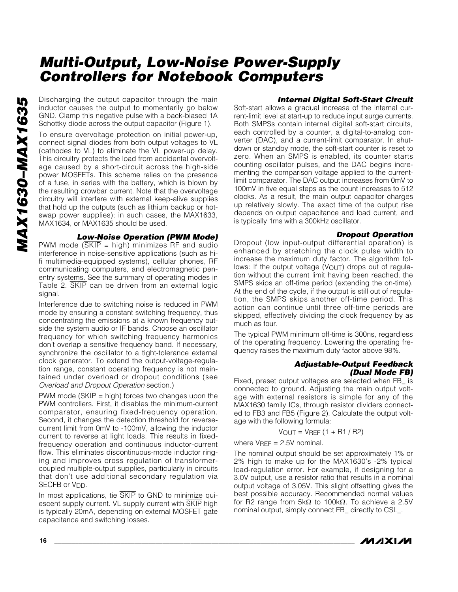Discharging the output capacitor through the main inductor causes the output to momentarily go below GND. Clamp this negative pulse with a back-biased 1A Schottky diode across the output capacitor (Figure 1).

To ensure overvoltage protection on initial power-up, connect signal diodes from both output voltages to VL (cathodes to VL) to eliminate the VL power-up delay. This circuitry protects the load from accidental overvoltage caused by a short-circuit across the high-side power MOSFETs. This scheme relies on the presence of a fuse, in series with the battery, which is blown by the resulting crowbar current. Note that the overvoltage circuitry will interfere with external keep-alive supplies that hold up the outputs (such as lithium backup or hotswap power supplies); in such cases, the MAX1633, MAX1634, or MAX1635 should be used.

#### *Low-Noise Operation (PWM Mode)*

PWM mode  $(\overline{\text{SKIP}} = \text{high})$  minimizes RF and audio interference in noise-sensitive applications (such as hifi multimedia-equipped systems), cellular phones, RF communicating computers, and electromagnetic penentry systems. See the summary of operating modes in Table 2. SKIP can be driven from an external logic signal.

Interference due to switching noise is reduced in PWM mode by ensuring a constant switching frequency, thus concentrating the emissions at a known frequency outside the system audio or IF bands. Choose an oscillator frequency for which switching frequency harmonics don't overlap a sensitive frequency band. If necessary, synchronize the oscillator to a tight-tolerance external clock generator. To extend the output-voltage-regulation range, constant operating frequency is not maintained under overload or dropout conditions (see *Overload and Dropout Operation* section*.*)

PWM mode ( $SKIP = high$ ) forces two changes upon the PWM controllers. First, it disables the minimum-current comparator, ensuring fixed-frequency operation. Second, it changes the detection threshold for reversecurrent limit from 0mV to -100mV, allowing the inductor current to reverse at light loads. This results in fixedfrequency operation and continuous inductor-current flow. This eliminates discontinuous-mode inductor ringing and improves cross regulation of transformercoupled multiple-output supplies, particularly in circuits that don't use additional secondary regulation via SECFB or V<sub>DD</sub>.

In most applications, tie SKIP to GND to minimize quiescent supply current. VL supply current with SKIP high is typically 20mA, depending on external MOSFET gate capacitance and switching losses.

#### *Internal Digital Soft-Start Circuit*

Soft-start allows a gradual increase of the internal current-limit level at start-up to reduce input surge currents. Both SMPSs contain internal digital soft-start circuits, each controlled by a counter, a digital-to-analog converter (DAC), and a current-limit comparator. In shutdown or standby mode, the soft-start counter is reset to zero. When an SMPS is enabled, its counter starts counting oscillator pulses, and the DAC begins incrementing the comparison voltage applied to the currentlimit comparator. The DAC output increases from 0mV to 100mV in five equal steps as the count increases to 512 clocks. As a result, the main output capacitor charges up relatively slowly. The exact time of the output rise depends on output capacitance and load current, and is typically 1ms with a 300kHz oscillator.

#### *Dropout Operation*

Dropout (low input-output differential operation) is enhanced by stretching the clock pulse width to increase the maximum duty factor. The algorithm follows: If the output voltage (VOUT) drops out of regulation without the current limit having been reached, the SMPS skips an off-time period (extending the on-time). At the end of the cycle, if the output is still out of regulation, the SMPS skips another off-time period. This action can continue until three off-time periods are skipped, effectively dividing the clock frequency by as much as four.

The typical PWM minimum off-time is 300ns, regardless of the operating frequency. Lowering the operating frequency raises the maximum duty factor above 98%.

#### *Adjustable-Output Feedback (Dual Mode FB)*

Fixed, preset output voltages are selected when FB\_ is connected to ground. Adjusting the main output voltage with external resistors is simple for any of the MAX1630 family ICs, through resistor dividers connected to FB3 and FB5 (Figure 2). Calculate the output voltage with the following formula:

 $V_{OUT} = V_{REF} (1 + R1 / R2)$ 

where  $V_{REF} = 2.5V$  nominal.

The nominal output should be set approximately 1% or 2% high to make up for the MAX1630's -2% typical load-regulation error. For example, if designing for a 3.0V output, use a resistor ratio that results in a nominal output voltage of 3.05V. This slight offsetting gives the best possible accuracy. Recommended normal values for R2 range from 5kΩ to 100kΩ. To achieve a 2.5V nominal output, simply connect FB\_ directly to CSL\_.

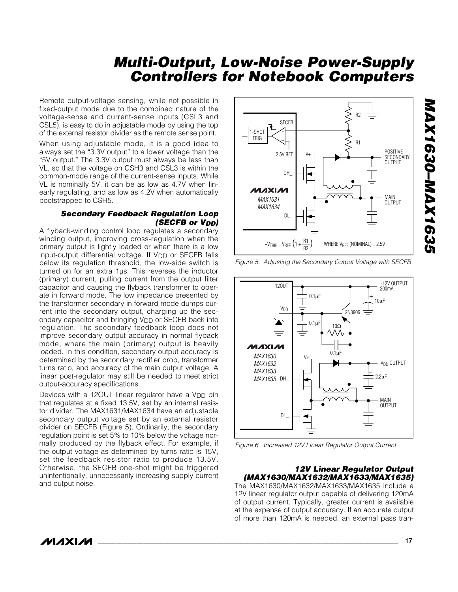Remote output-voltage sensing, while not possible in fixed-output mode due to the combined nature of the voltage-sense and current-sense inputs (CSL3 and CSL5), is easy to do in adjustable mode by using the top of the external resistor divider as the remote sense point.

When using adjustable mode, it is a good idea to always set the "3.3V output" to a lower voltage than the "5V output." The 3.3V output must always be less than VL, so that the voltage on CSH3 and CSL3 is within the common-mode range of the current-sense inputs. While VL is nominally 5V, it can be as low as 4.7V when linearly regulating, and as low as 4.2V when automatically bootstrapped to CSH5.

#### *Secondary Feedback Regulation Loop (SECFB or VDD)*

A flyback-winding control loop regulates a secondary winding output, improving cross-regulation when the primary output is lightly loaded or when there is a low input-output differential voltage. If VDD or SECFB falls below its regulation threshold, the low-side switch is turned on for an extra 1µs. This reverses the inductor (primary) current, pulling current from the output filter capacitor and causing the flyback transformer to operate in forward mode. The low impedance presented by the transformer secondary in forward mode dumps current into the secondary output, charging up the secondary capacitor and bringing V<sub>DD</sub> or SECFB back into regulation. The secondary feedback loop does not improve secondary output accuracy in normal flyback mode, where the main (primary) output is heavily loaded. In this condition, secondary output accuracy is determined by the secondary rectifier drop, transformer turns ratio, and accuracy of the main output voltage. A linear post-regulator may still be needed to meet strict output-accuracy specifications.

Devices with a 120UT linear regulator have a  $V_{DD}$  pin that regulates at a fixed 13.5V, set by an internal resistor divider. The MAX1631/MAX1634 have an adjustable secondary output voltage set by an external resistor divider on SECFB (Figure 5). Ordinarily, the secondary regulation point is set 5% to 10% below the voltage normally produced by the flyback effect. For example, if the output voltage as determined by turns ratio is 15V, set the feedback resistor ratio to produce 13.5V. Otherwise, the SECFB one-shot might be triggered unintentionally, unnecessarily increasing supply current and output noise.



*Figure 5. Adjusting the Secondary Output Voltage with SECFB*



*Figure 6. Increased 12V Linear Regulator Output Current*

#### *12V Linear Regulator Output (MAX1630/MAX1632/MAX1633/MAX1635)*

The MAX1630/MAX1632/MAX1633/MAX1635 include a 12V linear regulator output capable of delivering 120mA of output current. Typically, greater current is available at the expense of output accuracy. If an accurate output of more than 120mA is needed, an external pass tran*MAX1630–MAX1635*

829 | X DM-029 | X A DM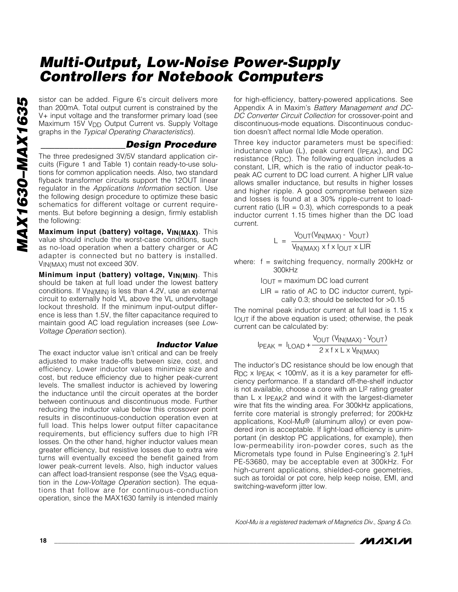sistor can be added. Figure 6's circuit delivers more than 200mA. Total output current is constrained by the V+ input voltage and the transformer primary load (see Maximum 15V V<sub>DD</sub> Output Current vs. Supply Voltage graphs in the *Typical Operating Characteristics*).

#### *\_\_\_\_\_\_\_\_\_\_\_\_\_\_\_\_\_\_Design Procedure*

The three predesigned 3V/5V standard application circuits (Figure 1 and Table 1) contain ready-to-use solutions for common application needs. Also, two standard flyback transformer circuits support the 12OUT linear regulator in the *Applications Information* section. Use the following design procedure to optimize these basic schematics for different voltage or current requirements. But before beginning a design, firmly establish the following:

**Maximum input (battery) voltage, VIN(MAX)**. This value should include the worst-case conditions, such as no-load operation when a battery charger or AC adapter is connected but no battery is installed. VIN(MAX) must not exceed 30V.

**Minimum input (battery) voltage, VIN(MIN)**. This should be taken at full load under the lowest battery conditions. If VIN(MIN) is less than 4.2V, use an external circuit to externally hold VL above the VL undervoltage lockout threshold. If the minimum input-output difference is less than 1.5V, the filter capacitance required to maintain good AC load regulation increases (see *Low-Voltage Operation* section).

#### *Inductor Value*

The exact inductor value isn't critical and can be freely adjusted to make trade-offs between size, cost, and efficiency. Lower inductor values minimize size and cost, but reduce efficiency due to higher peak-current levels. The smallest inductor is achieved by lowering the inductance until the circuit operates at the border between continuous and discontinuous mode. Further reducing the inductor value below this crossover point results in discontinuous-conduction operation even at full load. This helps lower output filter capacitance requirements, but efficiency suffers due to high I2R losses. On the other hand, higher inductor values mean greater efficiency, but resistive losses due to extra wire turns will eventually exceed the benefit gained from lower peak-current levels. Also, high inductor values can affect load-transient response (see the VSAG equation in the *Low-Voltage Operation* section). The equations that follow are for continuous-conduction operation, since the MAX1630 family is intended mainly for high-efficiency, battery-powered applications. See Appendix A in Maxim's *Battery Management and DC-DC Converter Circuit Collection* for crossover-point and discontinuous-mode equations. Discontinuous conduction doesn't affect normal Idle Mode operation.

Three key inductor parameters must be specified: inductance value (L), peak current (IPEAK), and DC resistance (R<sub>DC</sub>). The following equation includes a constant, LIR, which is the ratio of inductor peak-topeak AC current to DC load current. A higher LIR value allows smaller inductance, but results in higher losses and higher ripple. A good compromise between size and losses is found at a 30% ripple-current to loadcurrent ratio (LIR =  $0.3$ ), which corresponds to a peak inductor current 1.15 times higher than the DC load current.

$$
L = \frac{V_{OUT}(V_{IN(MAX)} - V_{OUT})}{V_{IN(MAX)} \times f \times I_{OUT} \times LIR}
$$

where:  $f =$  switching frequency, normally 200kHz or 300kHz

 $I<sub>OUT</sub> = maximum DC load current$ 

 $LIR = ratio of AC to DC inductor current, typi$ cally 0.3; should be selected for >0.15

The nominal peak inductor current at full load is 1.15 x IOUT if the above equation is used; otherwise, the peak current can be calculated by:

$$
I_{PEAK} = I_{LOAD} + \frac{V_{OUT} (V_{IN(MAX)} - V_{OUT})}{2 \times f \times L \times V_{IN(MAX)}}
$$

The inductor's DC resistance should be low enough that RDC x IPEAK < 100mV, as it is a key parameter for efficiency performance. If a standard off-the-shelf inductor is not available, choose a core with an  $LI<sup>2</sup>$  rating greater than L x IPEAK2 and wind it with the largest-diameter wire that fits the winding area. For 300kHz applications, ferrite core material is strongly preferred; for 200kHz applications, Kool-Mu® (aluminum alloy) or even powdered iron is acceptable. If light-load efficiency is unimportant (in desktop PC applications, for example), then low-permeability iron-powder cores, such as the Micrometals type found in Pulse Engineering's 2.1µH PE-53680, may be acceptable even at 300kHz. For high-current applications, shielded-core geometries, such as toroidal or pot core, help keep noise, EMI, and switching-waveform jitter low.

*Kool-Mu is a registered trademark of Magnetics Div., Spang & Co.* 

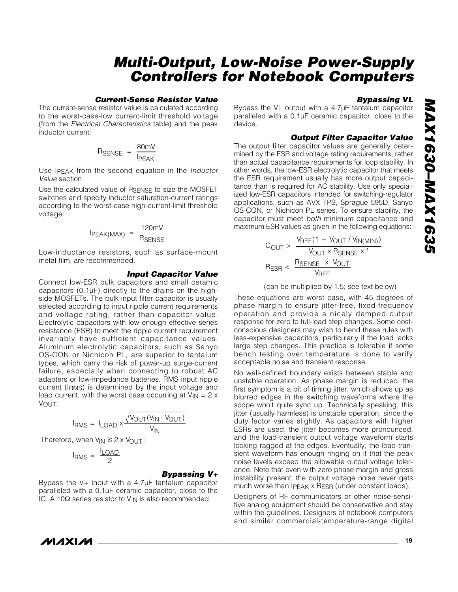#### *Current-Sense Resistor Value*

The current-sense resistor value is calculated according to the worst-case-low current-limit threshold voltage (from the *Electrical Characteristics* table) and the peak inductor current:

$$
R_{\text{SENSE}} = \frac{80 \text{mV}}{I_{\text{PEAK}}}
$$

Use IPEAK from the second equation in the *Inductor Value* section

Use the calculated value of RSENSE to size the MOSFET switches and specify inductor saturation-current ratings according to the worst-case high-current-limit threshold voltage:

$$
I_{PEAK(MAX)} = \frac{120 \text{mV}}{R_{SENSE}}
$$

Low-inductance resistors, such as surface-mount metal-film, are recommended.

#### *Input Capacitor Value*

Connect low-ESR bulk capacitors and small ceramic capacitors (0.1µF) directly to the drains on the highside MOSFETs. The bulk input filter capacitor is usually selected according to input ripple current requirements and voltage rating, rather than capacitor value. Electrolytic capacitors with low enough effective series resistance (ESR) to meet the ripple current requirement invariably have sufficient capacitance values. Aluminum electrolytic capacitors, such as Sanyo OS-CON or Nichicon PL, are superior to tantalum types, which carry the risk of power-up surge-current failure, especially when connecting to robust AC adapters or low-impedance batteries. RMS input ripple current (IRMS) is determined by the input voltage and load current, with the worst case occurring at  $V_{IN} = 2 \times 10^{-10}$ VOUT:

$$
I_{RMS} = I_{LOAD} \times \frac{\sqrt{V_{OUT}(V_{IN} - V_{OUT})}}{V_{IN}}
$$

Therefore, when V<sub>IN</sub> is 2 x V<sub>OUT</sub> :

$$
I_{RMS} = \frac{I_{LOAD}}{2}
$$

#### *Bypassing V+*

Bypass the V+ input with a 4.7µF tantalum capacitor paralleled with a 0.1µF ceramic capacitor, close to the IC. A 10Ω series resistor to V<sub>IN</sub> is also recommended.

#### *Bypassing VL*

Bypass the VL output with a 4.7µF tantalum capacitor paralleled with a 0.1µF ceramic capacitor, close to the device.

#### *Output Filter Capacitor Value*

The output filter capacitor values are generally determined by the ESR and voltage rating requirements, rather than actual capacitance requirements for loop stability. In other words, the low-ESR electrolytic capacitor that meets the ESR requirement usually has more output capacitance than is required for AC stability. Use only specialized low-ESR capacitors intended for switching-regulator applications, such as AVX TPS, Sprague 595D, Sanyo OS-CON, or Nichicon PL series. To ensure stability, the capacitor must meet *both* minimum capacitance and maximum ESR values as given in the following equations:

$$
C_{OUT} > \frac{V_{REF}(1 + V_{OUT} / V_{IN(MIN)})}{V_{OUT} \times R_{SENSE} \times f}
$$
  

$$
R_{ESR} < \frac{R_{SENSE} \times V_{OUT}}{V_{REF}}
$$

(can be multiplied by 1.5; see text below)

These equations are worst case, with 45 degrees of phase margin to ensure jitter-free, fixed-frequency operation and provide a nicely damped output response for zero to full-load step changes. Some costconscious designers may wish to bend these rules with less-expensive capacitors, particularly if the load lacks large step changes. This practice is tolerable if some bench testing over temperature is done to verify acceptable noise and transient response.

No well-defined boundary exists between stable and unstable operation. As phase margin is reduced, the first symptom is a bit of timing jitter, which shows up as blurred edges in the switching waveforms where the scope won't quite sync up. Technically speaking, this jitter (usually harmless) is unstable operation, since the duty factor varies slightly. As capacitors with higher ESRs are used, the jitter becomes more pronounced, and the load-transient output voltage waveform starts looking ragged at the edges. Eventually, the load-transient waveform has enough ringing on it that the peak noise levels exceed the allowable output voltage tolerance. Note that even with zero phase margin and gross instability present, the output voltage noise never gets much worse than IPEAK x RESR (under constant loads).

Designers of RF communicators or other noise-sensitive analog equipment should be conservative and stay within the guidelines. Designers of notebook computers and similar commercial-temperature-range digital

*IVIJIXIJV*I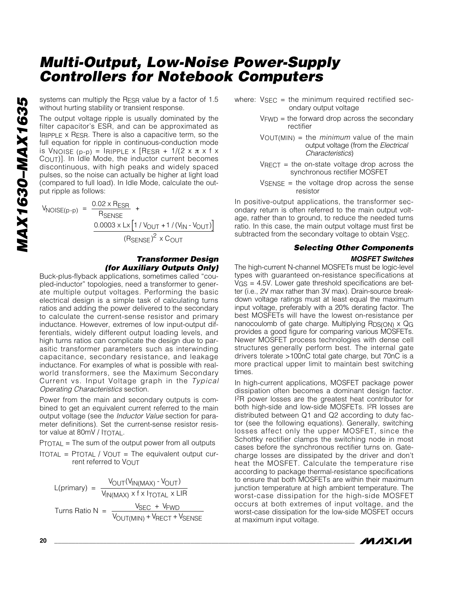systems can multiply the R<sub>ESR</sub> value by a factor of 1.5 without hurting stability or transient response.

The output voltage ripple is usually dominated by the filter capacitor's ESR, and can be approximated as IRIPPLE x RESR. There is also a capacitive term, so the full equation for ripple in continuous-conduction mode is Vnoise  $(p-p)$  = Iripple x [Resr + 1/(2 x  $\pi$  x f x COUT)]. In Idle Mode, the inductor current becomes discontinuous, with high peaks and widely spaced pulses, so the noise can actually be higher at light load (compared to full load). In Idle Mode, calculate the output ripple as follows:

 $V_{\text{NOISE(p-p)}} = \frac{0.02 \times R_{\text{ESR}}}{R_{\text{SENSE}}}$  $\frac{0.0003 \times L \times [1 / V_{OUT} + 1 / (V_{IN} - V_{OUT})]}{2}$  $\left(\mathsf{R}_{\mathsf{SENSE}}\right)^2 \times \mathsf{C}_{\mathsf{OUT}}$ SENSE +

#### *Transformer Design (for Auxiliary Outputs Only)*

Buck-plus-flyback applications, sometimes called "coupled-inductor" topologies, need a transformer to generate multiple output voltages. Performing the basic electrical design is a simple task of calculating turns ratios and adding the power delivered to the secondary to calculate the current-sense resistor and primary inductance. However, extremes of low input-output differentials, widely different output loading levels, and high turns ratios can complicate the design due to parasitic transformer parameters such as interwinding capacitance, secondary resistance, and leakage inductance. For examples of what is possible with realworld transformers, see the Maximum Secondary Current vs. Input Voltage graph in the *Typical Operating Characteristics* section.

Power from the main and secondary outputs is combined to get an equivalent current referred to the main output voltage (see the *Inductor Value* section for parameter definitions). Set the current-sense resistor resistor value at 80mV / ITOTAL.

PTOTAL = The sum of the output power from all outputs

ITOTAL =  $P$ TOTAL /  $V$ OUT = The equivalent output current referred to VOUT

$$
L(primary) = \frac{V_{OUT}(V_{IN(MAX)} - V_{OUT})}{V_{IN(MAX)} \times f \times I_{TOTAL} \times LIR}
$$
  
Turns Ratio N = 
$$
\frac{V_{SEC} + V_{FWD}}{V_{OUT(MIN)} + V_{RECT} + V_{SENSE}}
$$

- where:  $V<sub>SEC</sub>$  = the minimum required rectified secondary output voltage
	- $V<sub>FWD</sub>$  = the forward drop across the secondary rectifier
	- VOUT(MIN) = the *minimum* value of the main output voltage (from the *Electrical Characteristics*)
	- $V<sub>RECT</sub>$  = the on-state voltage drop across the synchronous rectifier MOSFET
	- $V$ SENSE = the voltage drop across the sense resistor

In positive-output applications, the transformer secondary return is often referred to the main output voltage, rather than to ground, to reduce the needed turns ratio. In this case, the main output voltage must first be subtracted from the secondary voltage to obtain VSEC.

#### *Selecting Other Components*

#### *MOSFET Switches*

The high-current N-channel MOSFETs must be logic-level types with guaranteed on-resistance specifications at VGS = 4.5V. Lower gate threshold specifications are better (i.e., 2V max rather than 3V max). Drain-source breakdown voltage ratings must at least equal the maximum input voltage, preferably with a 20% derating factor. The best MOSFETs will have the lowest on-resistance per nanocoulomb of gate charge. Multiplying  $RDS(ON) \times QG$ provides a good figure for comparing various MOSFETs. Newer MOSFET process technologies with dense cell structures generally perform best. The internal gate drivers tolerate >100nC total gate charge, but 70nC is a more practical upper limit to maintain best switching times.

In high-current applications, MOSFET package power dissipation often becomes a dominant design factor. I2R power losses are the greatest heat contributor for both high-side and low-side MOSFETs. I<sup>2</sup>R losses are distributed between Q1 and Q2 according to duty factor (see the following equations). Generally, switching losses affect only the upper MOSFET, since the Schottky rectifier clamps the switching node in most cases before the synchronous rectifier turns on. Gatecharge losses are dissipated by the driver and don't heat the MOSFET. Calculate the temperature rise according to package thermal-resistance specifications to ensure that both MOSFETs are within their maximum junction temperature at high ambient temperature. The worst-case dissipation for the high-side MOSFET occurs at both extremes of input voltage, and the worst-case dissipation for the low-side MOSFET occurs at maximum input voltage.

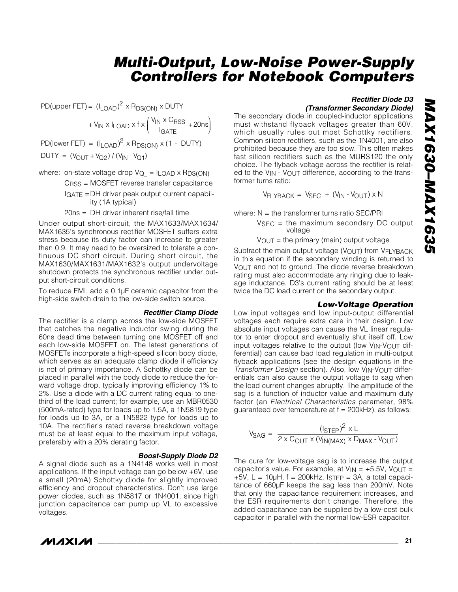PD(upper FET) =  $\left(I_{\text{LOAD}}\right)^2 \times \mathsf{R}_{\text{DS(ON)}} \times \text{DUTY}$ 

 $+ V_{IN} \times I_{LOAD} \times f \times \left( \frac{V_{IN} \times C_{RSS}}{I_{GATE}} + 20 \text{ns} \right)$ GATE  $\left(\frac{\mathsf{V}_{\mathsf{IN}}\times \mathsf{C}_{\mathsf{RSS}}}{\mathsf{I}_{\mathsf{GATE}}}+ \right.$ ⎞  $\overline{y}$ 

PD(lower FET) =  $(I_{LOAD})^2 \times R_{DS(ON)} \times (1 - DUTY)$ 

 $DUTY = (V_{OUT} + V_{Q2}) / (V_{IN} - V_{Q1})$ 

where: on-state voltage drop  $V_{Q_{-}} = I_{LOAD} \times R_{DS(ON)}$ 

CRSS = MOSFET reverse transfer capacitance IGATE =DH driver peak output current capability (1A typical)

20ns = DH driver inherent rise/fall time

Under output short-circuit, the MAX1633/MAX1634/ MAX1635's synchronous rectifier MOSFET suffers extra stress because its duty factor can increase to greater than 0.9. It may need to be oversized to tolerate a continuous DC short circuit. During short circuit, the MAX1630/MAX1631/MAX1632's output undervoltage shutdown protects the synchronous rectifier under output short-circuit conditions.

To reduce EMI, add a 0.1µF ceramic capacitor from the high-side switch drain to the low-side switch source.

#### *Rectifier Clamp Diode*

The rectifier is a clamp across the low-side MOSFET that catches the negative inductor swing during the 60ns dead time between turning one MOSFET off and each low-side MOSFET on. The latest generations of MOSFETs incorporate a high-speed silicon body diode, which serves as an adequate clamp diode if efficiency is not of primary importance. A Schottky diode can be placed in parallel with the body diode to reduce the forward voltage drop, typically improving efficiency 1% to 2%. Use a diode with a DC current rating equal to onethird of the load current; for example, use an MBR0530 (500mA-rated) type for loads up to 1.5A, a 1N5819 type for loads up to 3A, or a 1N5822 type for loads up to 10A. The rectifier's rated reverse breakdown voltage must be at least equal to the maximum input voltage, preferably with a 20% derating factor.

#### *Boost-Supply Diode D2*

A signal diode such as a 1N4148 works well in most applications. If the input voltage can go below +6V, use a small (20mA) Schottky diode for slightly improved efficiency and dropout characteristics. Don't use large power diodes, such as 1N5817 or 1N4001, since high junction capacitance can pump up VL to excessive voltages.

### *IVI A* XI*IV*I

### *Rectifier Diode D3*

*(Transformer Secondary Diode)*

The secondary diode in coupled-inductor applications must withstand flyback voltages greater than 60V, which usually rules out most Schottky rectifiers. Common silicon rectifiers, such as the 1N4001, are also prohibited because they are too slow. This often makes fast silicon rectifiers such as the MURS120 the only choice. The flyback voltage across the rectifier is related to the VIN - VOUT difference, according to the transformer turns ratio:

$$
V_{FLYBACK} = V_{SEC} + (V_{IN} - V_{OUT}) \times N
$$

where:  $N =$  the transformer turns ratio SEC/PRI

 $V<sub>SEC</sub> =$  the maximum secondary DC output voltage

 $V_{\text{OUT}}$  = the primary (main) output voltage

Subtract the main output voltage (VOUT) from VFLYBACK in this equation if the secondary winding is returned to VOUT and not to ground. The diode reverse breakdown rating must also accommodate any ringing due to leakage inductance. D3's current rating should be at least twice the DC load current on the secondary output.

#### *Low-Voltage Operation*

Low input voltages and low input-output differential voltages each require extra care in their design. Low absolute input voltages can cause the VL linear regulator to enter dropout and eventually shut itself off. Low input voltages relative to the output (low VIN-VOUT differential) can cause bad load regulation in multi-output flyback applications (see the design equations in the **Transformer Design section). Also, low VIN-VOUT differ**entials can also cause the output voltage to sag when the load current changes abruptly. The amplitude of the sag is a function of inductor value and maximum duty factor (an *Electrical Characteristics* parameter, 98% guaranteed over temperature at  $f = 200$ kHz), as follows:

$$
V_{SAG} = \frac{(I_{STEP})^2 \times L}{2 \times C_{OUT} \times (V_{IN(MAX)} \times D_{MAX} \cdot V_{OUT})}
$$

The cure for low-voltage sag is to increase the output capacitor's value. For example, at  $V_{IN} = +5.5V$ ,  $V_{OUT} =$  $+5V$ , L = 10µH, f = 200kHz, ISTEP = 3A, a total capacitance of 660µF keeps the sag less than 200mV. Note that only the capacitance requirement increases, and the ESR requirements don't change. Therefore, the added capacitance can be supplied by a low-cost bulk capacitor in parallel with the normal low-ESR capacitor.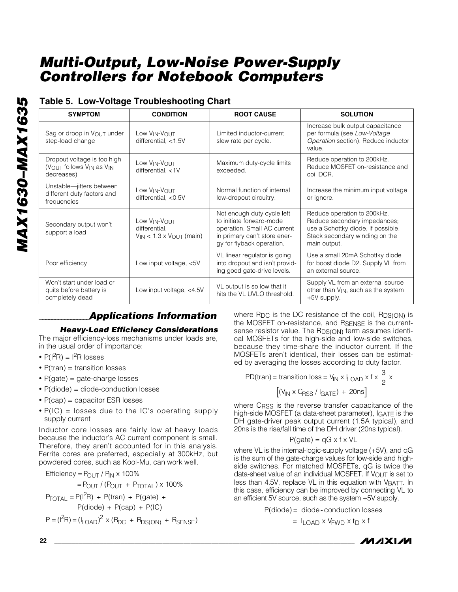### **Table 5. Low-Voltage Troubleshooting Chart**

| <b>SYMPTOM</b>                                                                                | <b>CONDITION</b>                                                   | <b>ROOT CAUSE</b>                                                                                                                                  | <b>SOLUTION</b>                                                                                                                                     |  |  |  |
|-----------------------------------------------------------------------------------------------|--------------------------------------------------------------------|----------------------------------------------------------------------------------------------------------------------------------------------------|-----------------------------------------------------------------------------------------------------------------------------------------------------|--|--|--|
| Sag or droop in VOUT under<br>step-load change                                                | Low VIN-VOUT<br>differential, $<$ 1.5V                             | Limited inductor-current<br>slew rate per cycle.                                                                                                   | Increase bulk output capacitance<br>per formula (see Low-Voltage<br>Operation section). Reduce inductor<br>value.                                   |  |  |  |
| Dropout voltage is too high<br>(VOUT follows V <sub>IN</sub> as V <sub>IN</sub><br>decreases) | Low VIN-VOUT<br>differential, <1V                                  | Maximum duty-cycle limits<br>exceeded.                                                                                                             | Reduce operation to 200kHz.<br>Reduce MOSFET on-resistance and<br>coil DCR.                                                                         |  |  |  |
| Unstable-jitters between<br>different duty factors and<br>frequencies                         | Low VIN-VOUT<br>differential, $<$ 0.5V                             | Normal function of internal<br>low-dropout circuitry.                                                                                              | Increase the minimum input voltage<br>or ignore.                                                                                                    |  |  |  |
| Secondary output won't<br>support a load                                                      | Low VIN-VOUT<br>differential,<br>$V_{IN}$ < 1.3 x $V_{OUT}$ (main) | Not enough duty cycle left<br>to initiate forward-mode<br>operation. Small AC current<br>in primary can't store ener-<br>gy for flyback operation. | Reduce operation to 200kHz.<br>Reduce secondary impedances;<br>use a Schottky diode, if possible.<br>Stack secondary winding on the<br>main output. |  |  |  |
| Poor efficiency                                                                               | Low input voltage, <5V                                             | VL linear regulator is going<br>into dropout and isn't provid-<br>ing good gate-drive levels.                                                      | Use a small 20mA Schottky diode<br>for boost diode D2. Supply VL from<br>an external source.                                                        |  |  |  |
| Won't start under load or<br>quits before battery is<br>completely dead                       | Low input voltage, $<4.5V$                                         | VL output is so low that it<br>hits the VL UVLO threshold.                                                                                         | Supply VL from an external source<br>other than V <sub>IN</sub> , such as the system<br>+5V supply.                                                 |  |  |  |

### *\_\_\_\_\_\_\_\_\_\_\_\_\_\_\_\_Applications Information*

#### *Heavy-Load Efficiency Considerations*

The major efficiency-loss mechanisms under loads are, in the usual order of importance:

- $P(I^2R) = I^2R$  losses
- P(tran) = transition losses
- P(gate) = gate-charge losses
- P(diode) = diode-conduction losses
- P(cap) = capacitor ESR losses
- P(IC) = losses due to the IC's operating supply supply current

Inductor core losses are fairly low at heavy loads because the inductor's AC current component is small. Therefore, they aren't accounted for in this analysis. Ferrite cores are preferred, especially at 300kHz, but powdered cores, such as Kool-Mu, can work well.

Efficiency = 
$$
P_{OUT} / P_{IN} \times 100\%
$$
  
\n=  $P_{OUT} / (P_{OUT} + P_{TOTAL}) \times 100\%$   
\n $P_{TOTAL} = P(I2R) + P(train) + P(gate) +$   
\n $P(diode) + P(cap) + P(IC)$   
\n $P = (I2R) = (ILOAD)2 \times (RDC + RDS(ON) + RSENSE)$ 

where  $R_{DC}$  is the DC resistance of the coil,  $R_{DS(ON)}$  is the MOSFET on-resistance, and RSENSE is the currentsense resistor value. The RDS(ON) term assumes identical MOSFETs for the high-side and low-side switches, because they time-share the inductor current. If the MOSFETs aren't identical, their losses can be estimated by averaging the losses according to duty factor.

PD(tran) = transition loss =  $V_{IN} \times I_{LOAD} \times f \times \frac{3}{2} \times$ 

$$
\left[ \left( V_{IN} \times C_{RSS} / I_{GATE} \right) + 20 \text{ns} \right]
$$

where C<sub>RSS</sub> is the reverse transfer capacitance of the high-side MOSFET (a data-sheet parameter), IGATE is the DH gate-driver peak output current (1.5A typical), and 20ns is the rise/fall time of the DH driver (20ns typical).

$$
P(gate) = qG \times f \times VL
$$

where VL is the internal-logic-supply voltage (+5V), and qG is the sum of the gate-charge values for low-side and highside switches. For matched MOSFETs, qG is twice the data-sheet value of an individual MOSFET. If VOUT is set to less than 4.5V, replace VL in this equation with VBATT. In this case, efficiency can be improved by connecting VL to an efficient 5V source, such as the system +5V supply.

P(diode) = diode- conduction losses

 $= I_{\text{LOAD}} \times V_{\text{FWD}} \times t_{\text{D}} \times f$ 

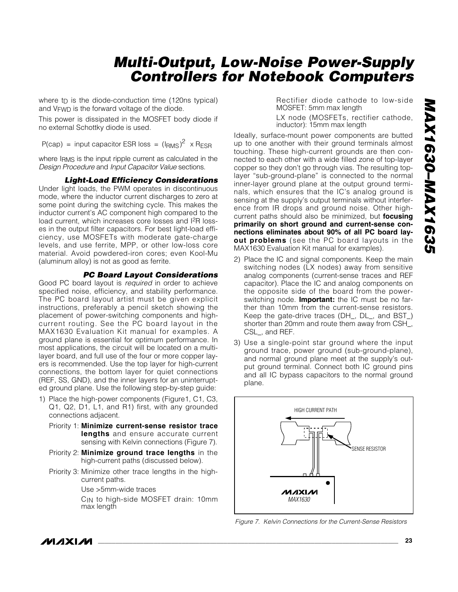where  $tp$  is the diode-conduction time (120ns typical) and VFWD is the forward voltage of the diode.

This power is dissipated in the MOSFET body diode if no external Schottky diode is used.

P(cap) = input capacitor ESR loss =  $(I_{RMS})^2$  x R<sub>ESR</sub>

where IRMS is the input ripple current as calculated in the *Design Procedure* and *Input Capacitor Value* sections.

*Light-Load Efficiency Considerations* 

Under light loads, the PWM operates in discontinuous mode, where the inductor current discharges to zero at some point during the switching cycle. This makes the inductor current's AC component high compared to the load current, which increases core losses and I2R losses in the output filter capacitors. For best light-load efficiency, use MOSFETs with moderate gate-charge levels, and use ferrite, MPP, or other low-loss core material. Avoid powdered-iron cores; even Kool-Mu (aluminum alloy) is not as good as ferrite.

#### *PC Board Layout Considerations*

Good PC board layout is *required* in order to achieve specified noise, efficiency, and stability performance. The PC board layout artist must be given explicit instructions, preferably a pencil sketch showing the placement of power-switching components and highcurrent routing. See the PC board layout in the MAX1630 Evaluation Kit manual for examples. A ground plane is essential for optimum performance. In most applications, the circuit will be located on a multilayer board, and full use of the four or more copper layers is recommended. Use the top layer for high-current connections, the bottom layer for quiet connections (REF, SS, GND), and the inner layers for an uninterrupted ground plane. Use the following step-by-step guide:

- 1) Place the high-power components (Figure1, C1, C3, Q1, Q2, D1, L1, and R1) first, with any grounded connections adjacent.
	- Priority 1: **Minimize current-sense resistor trace lengths** and ensure accurate current sensing with Kelvin connections (Figure 7).
	- Priority 2: **Minimize ground trace lengths** in the high-current paths (discussed below).
	- Priority 3: Minimize other trace lengths in the highcurrent paths.

Use >5mm-wide traces

CIN to high-side MOSFET drain: 10mm max length

Rectifier diode cathode to low-side MOSFET: 5mm max length

LX node (MOSFETs, rectifier cathode, inductor): 15mm max length

Ideally, surface-mount power components are butted up to one another with their ground terminals almost touching. These high-current grounds are then connected to each other with a wide filled zone of top-layer copper so they don't go through vias. The resulting toplayer "sub-ground-plane" is connected to the normal inner-layer ground plane at the output ground terminals, which ensures that the IC's analog ground is sensing at the supply's output terminals without interference from IR drops and ground noise. Other highcurrent paths should also be minimized, but **focusing primarily on short ground and current-sense connections eliminates about 90% of all PC board layout problems** (see the PC board layouts in the MAX1630 Evaluation Kit manual for examples).

- 2) Place the IC and signal components. Keep the main switching nodes (LX nodes) away from sensitive analog components (current-sense traces and REF capacitor). Place the IC and analog components on the opposite side of the board from the powerswitching node. **Important:** the IC must be no farther than 10mm from the current-sense resistors. Keep the gate-drive traces (DH\_, DL\_, and BST\_) shorter than 20mm and route them away from CSH\_, CSL\_, and REF.
- 3) Use a single-point star ground where the input ground trace, power ground (sub-ground-plane), and normal ground plane meet at the supply's output ground terminal. Connect both IC ground pins and all IC bypass capacitors to the normal ground plane.



*Figure 7. Kelvin Connections for the Current-Sense Resistors*

*IVI A* XI*IV*I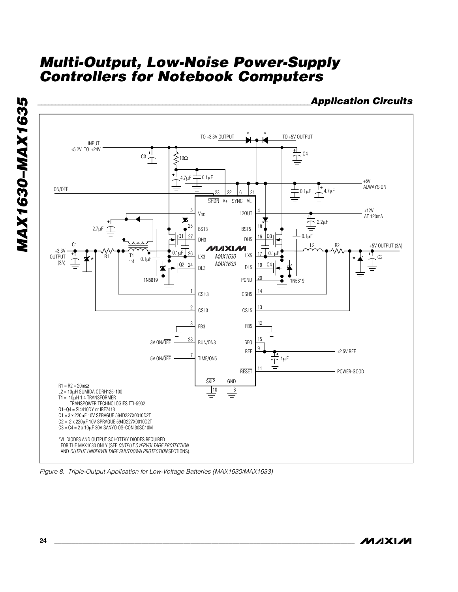



*Figure 8. Triple-Output Application for Low-Voltage Batteries (MAX1630/MAX1633)*

*MAXM*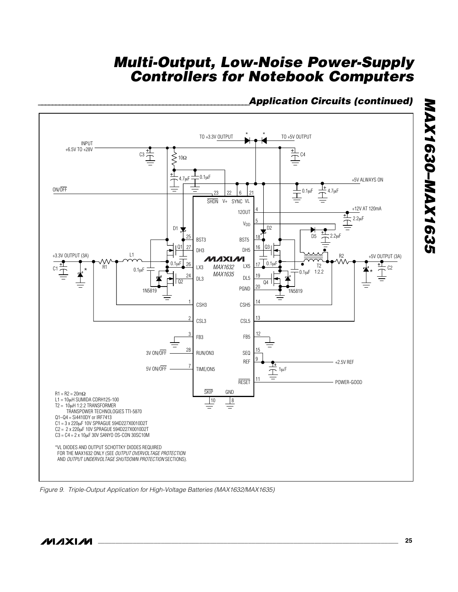### *\_\_\_\_\_\_\_\_\_\_\_\_\_\_\_\_\_\_\_\_\_\_\_\_\_\_\_\_\_\_\_\_\_\_\_\_\_\_\_\_\_\_\_\_\_\_\_\_\_\_\_\_\_\_\_\_\_\_\_\_\_Application Circuits (continued)*



*Figure 9. Triple-Output Application for High-Voltage Batteries (MAX1632/MAX1635)*

*MAX1630–MAX1635*

MAX1630-MAX1635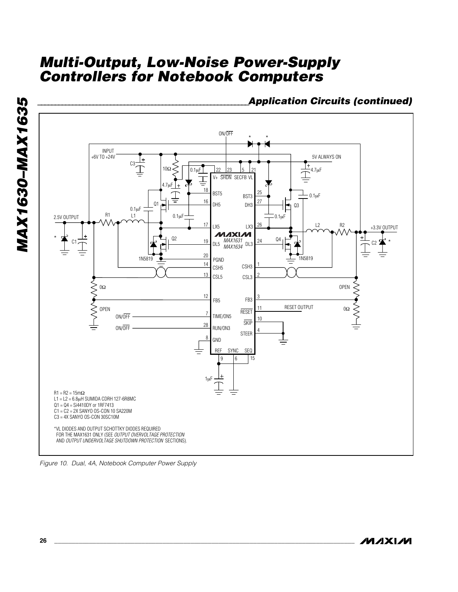*\_\_\_\_\_\_\_\_\_\_\_\_\_\_\_\_\_\_\_\_\_\_\_\_\_\_\_\_\_\_\_\_\_\_\_\_\_\_\_\_\_\_\_\_\_\_\_\_\_\_\_\_\_\_\_\_\_\_\_\_\_Application Circuits (continued)*



*Figure 10. Dual, 4A, Notebook Computer Power Supply*

*MAXM* 

*MAX1630–MAX1635*

**MAX1630-MAX1635**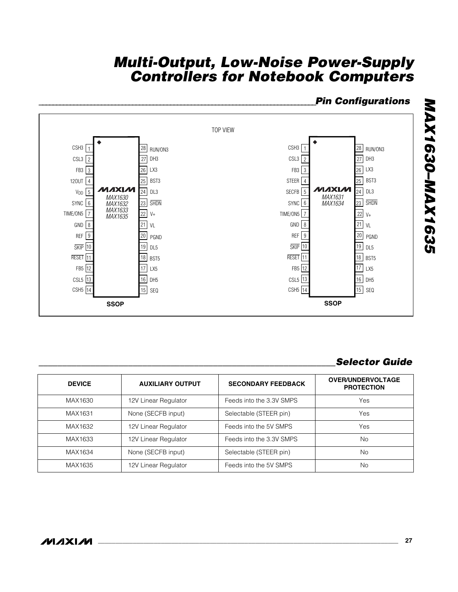### *\_\_\_\_\_\_\_\_\_\_\_\_\_\_\_\_\_\_\_\_\_\_\_\_\_\_\_\_\_\_\_\_\_\_\_\_\_\_\_\_\_\_\_\_\_\_\_\_\_\_\_\_\_\_\_\_\_\_\_\_\_\_\_\_\_\_\_\_\_\_\_\_\_\_\_\_\_\_\_\_Pin Configurations*



### *\_\_\_\_\_\_\_\_\_\_\_\_\_\_\_\_\_\_\_\_\_\_\_\_\_\_\_\_\_\_\_\_\_\_\_\_\_\_\_\_\_\_\_\_\_\_\_\_\_\_\_\_\_\_\_\_\_\_\_\_\_\_\_Selector Guide*

| <b>DEVICE</b> | <b>AUXILIARY OUTPUT</b> | <b>SECONDARY FEEDBACK</b> | <b>OVER/UNDERVOLTAGE</b><br><b>PROTECTION</b> |
|---------------|-------------------------|---------------------------|-----------------------------------------------|
| MAX1630       | 12V Linear Regulator    | Feeds into the 3.3V SMPS  | Yes                                           |
| MAX1631       | None (SECFB input)      | Selectable (STEER pin)    | Yes                                           |
| MAX1632       | 12V Linear Regulator    | Feeds into the 5V SMPS    | Yes                                           |
| MAX1633       | 12V Linear Regulator    | Feeds into the 3.3V SMPS  | No.                                           |
| MAX1634       | None (SECFB input)      | Selectable (STEER pin)    | No                                            |
| MAX1635       | 12V Linear Regulator    | Feeds into the 5V SMPS    | No                                            |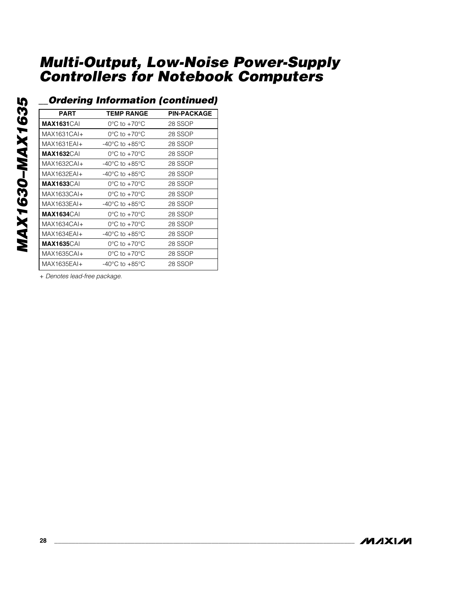**MAX1630-MAX1635** *MAX1630–MAX1635*

### *\_\_Ordering Information (continued)*

| <b>PART</b>        | <b>TEMP RANGE</b>                    | <b>PIN-PACKAGE</b> |
|--------------------|--------------------------------------|--------------------|
| <b>MAX1631</b> CAI | $0^{\circ}$ C to $+70^{\circ}$ C     | 28 SSOP            |
| MAX1631CAI+        | $0^{\circ}$ C to $+70^{\circ}$ C     | 28 SSOP            |
| MAX1631EAI+        | -40°C to $+85$ °C                    | 28 SSOP            |
| <b>MAX1632</b> CAI | $0^{\circ}$ C to $+70^{\circ}$ C     | 28 SSOP            |
| MAX1632CAI+        | -40 $^{\circ}$ C to +85 $^{\circ}$ C | 28 SSOP            |
| MAX1632EAI+        | $-40^{\circ}$ C to $+85^{\circ}$ C   | 28 SSOP            |
| <b>MAX1633</b> CAI | $0^{\circ}$ C to $+70^{\circ}$ C     | 28 SSOP            |
| MAX1633CAI+        | $0^{\circ}$ C to $+70^{\circ}$ C     | 28 SSOP            |
| MAX1633EAI+        | $-40^{\circ}$ C to $+85^{\circ}$ C   | 28 SSOP            |
| <b>MAX1634</b> CAI | $0^{\circ}$ C to +70 $^{\circ}$ C    | 28 SSOP            |
| MAX1634CAI+        | $0^{\circ}$ C to $+70^{\circ}$ C     | 28 SSOP            |
| MAX1634EAI+        | -40 $^{\circ}$ C to +85 $^{\circ}$ C | 28 SSOP            |
| <b>MAX1635</b> CAI | $0^{\circ}$ C to $+70^{\circ}$ C     | 28 SSOP            |
| MAX1635CAI+        | $0^{\circ}$ C to +70 $^{\circ}$ C    | 28 SSOP            |
| MAX1635EAI+        | -40 $^{\circ}$ C to +85 $^{\circ}$ C | 28 SSOP            |

+ *Denotes lead-free package.*